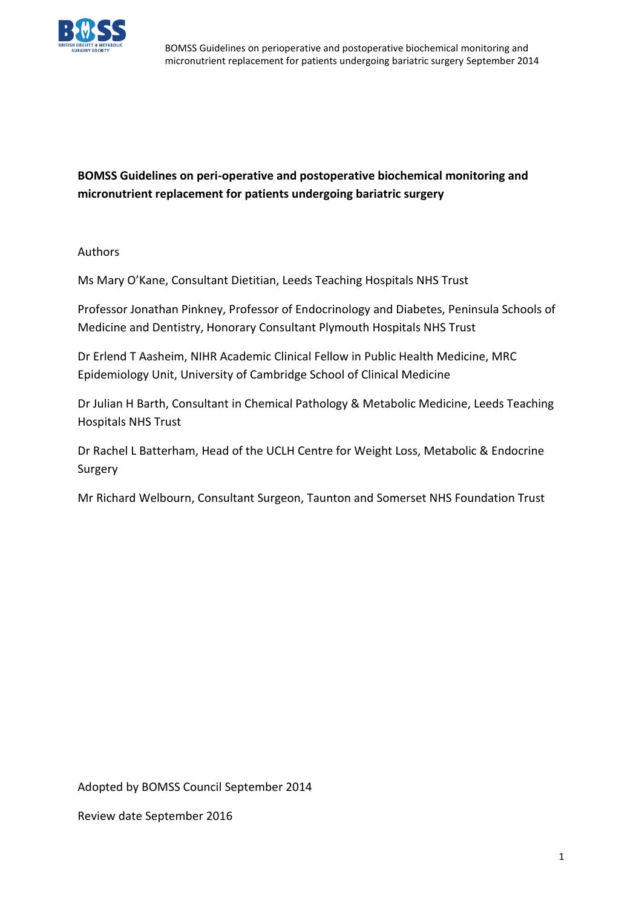

### Authors

Ms Mary O'Kane, Consultant Dietitian, Leeds Teaching Hospitals NHS Trust

Professor Jonathan Pinkney, Professor of Endocrinology and Diabetes, Peninsula Schools of Medicine and Dentistry, Honorary Consultant Plymouth Hospitals NHS Trust

Dr Erlend T Aasheim, NIHR Academic Clinical Fellow in Public Health Medicine, MRC Epidemiology Unit, University of Cambridge School of Clinical Medicine

Dr Julian H Barth, Consultant in Chemical Pathology & Metabolic Medicine, Leeds Teaching Hospitals NHS Trust

Dr Rachel L Batterham, Head of the UCLH Centre for Weight Loss, Metabolic & Endocrine Surgery

Mr Richard Welbourn, Consultant Surgeon, Taunton and Somerset NHS Foundation Trust

Adopted by BOMSS Council September 2014

Review date September 2016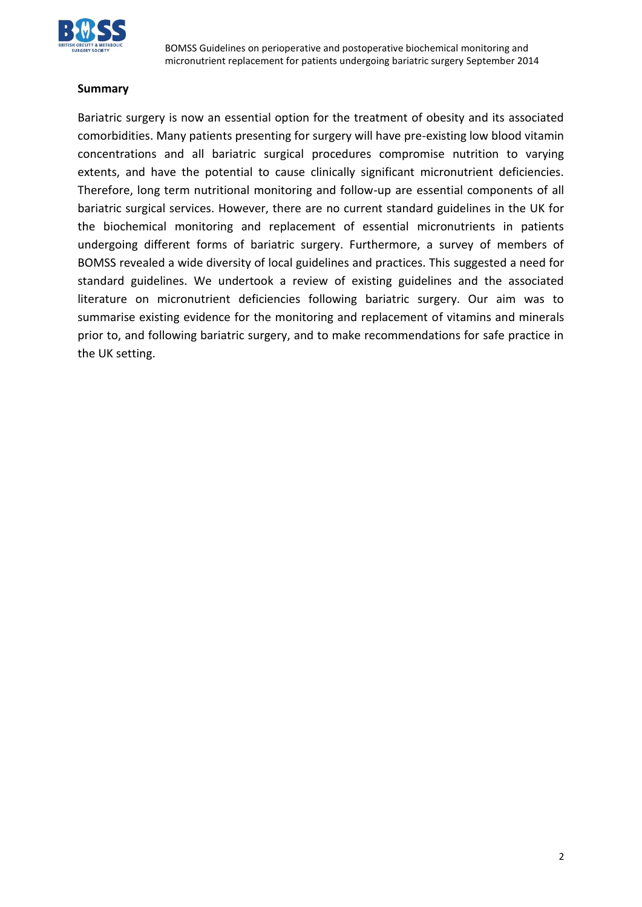

#### **Summary**

Bariatric surgery is now an essential option for the treatment of obesity and its associated comorbidities. Many patients presenting for surgery will have pre-existing low blood vitamin concentrations and all bariatric surgical procedures compromise nutrition to varying extents, and have the potential to cause clinically significant micronutrient deficiencies. Therefore, long term nutritional monitoring and follow-up are essential components of all bariatric surgical services. However, there are no current standard guidelines in the UK for the biochemical monitoring and replacement of essential micronutrients in patients undergoing different forms of bariatric surgery. Furthermore, a survey of members of BOMSS revealed a wide diversity of local guidelines and practices. This suggested a need for standard guidelines. We undertook a review of existing guidelines and the associated literature on micronutrient deficiencies following bariatric surgery. Our aim was to summarise existing evidence for the monitoring and replacement of vitamins and minerals prior to, and following bariatric surgery, and to make recommendations for safe practice in the UK setting.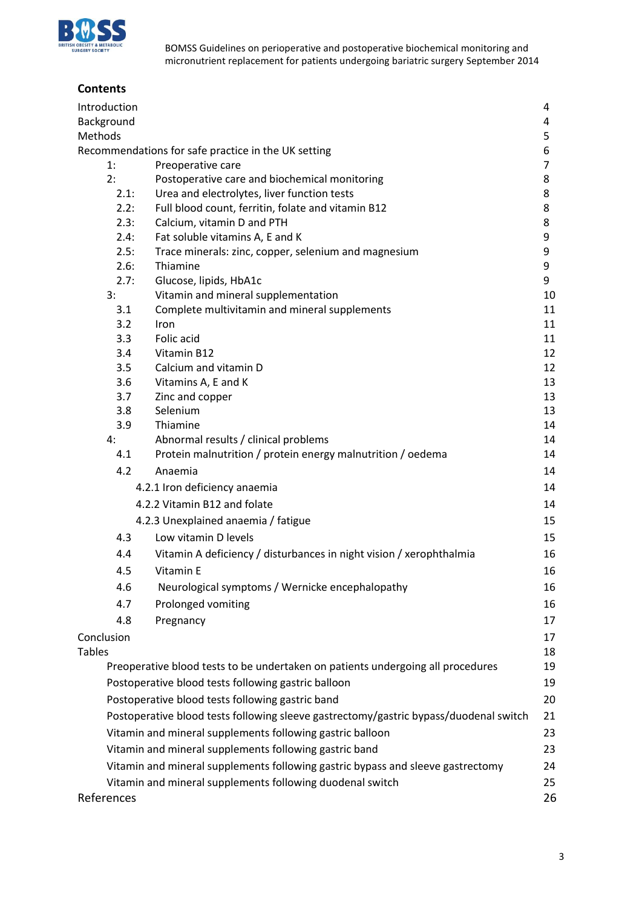

# **Contents**

| Introduction  |                                                                                       | 4              |
|---------------|---------------------------------------------------------------------------------------|----------------|
| Background    |                                                                                       | 4              |
| Methods       |                                                                                       | 5              |
|               | Recommendations for safe practice in the UK setting                                   | 6              |
| 1:            | Preoperative care                                                                     | $\overline{7}$ |
| 2:            | Postoperative care and biochemical monitoring                                         | 8              |
| 2.1:          | Urea and electrolytes, liver function tests                                           | 8              |
| 2.2:          | Full blood count, ferritin, folate and vitamin B12                                    | 8              |
| 2.3:          | Calcium, vitamin D and PTH                                                            | 8              |
| 2.4:          | Fat soluble vitamins A, E and K                                                       | 9              |
| 2.5:          | Trace minerals: zinc, copper, selenium and magnesium                                  | 9              |
| 2.6:<br>2.7:  | Thiamine                                                                              | 9<br>9         |
| 3:            | Glucose, lipids, HbA1c                                                                | 10             |
| 3.1           | Vitamin and mineral supplementation<br>Complete multivitamin and mineral supplements  | 11             |
| 3.2           | Iron                                                                                  | 11             |
| 3.3           | Folic acid                                                                            | 11             |
| 3.4           | Vitamin B12                                                                           | 12             |
| 3.5           | Calcium and vitamin D                                                                 | 12             |
| 3.6           | Vitamins A, E and K                                                                   | 13             |
| 3.7           | Zinc and copper                                                                       | 13             |
| 3.8           | Selenium                                                                              | 13             |
| 3.9           | Thiamine                                                                              | 14             |
| 4:            | Abnormal results / clinical problems                                                  | 14             |
| 4.1           | Protein malnutrition / protein energy malnutrition / oedema                           | 14             |
| 4.2           | Anaemia                                                                               | 14             |
|               | 4.2.1 Iron deficiency anaemia                                                         | 14             |
|               | 4.2.2 Vitamin B12 and folate                                                          | 14             |
|               | 4.2.3 Unexplained anaemia / fatigue                                                   | 15             |
| 4.3           | Low vitamin D levels                                                                  | 15             |
| 4.4           | Vitamin A deficiency / disturbances in night vision / xerophthalmia                   | 16             |
| 4.5           | Vitamin E                                                                             | 16             |
| 4.6           | Neurological symptoms / Wernicke encephalopathy                                       | 16             |
| 4.7           | Prolonged vomiting                                                                    | 16             |
| 4.8           | Pregnancy                                                                             | 17             |
| Conclusion    |                                                                                       | 17             |
| <b>Tables</b> |                                                                                       | 18             |
|               | Preoperative blood tests to be undertaken on patients undergoing all procedures       | 19             |
|               | Postoperative blood tests following gastric balloon                                   | 19             |
|               | Postoperative blood tests following gastric band                                      | 20             |
|               | Postoperative blood tests following sleeve gastrectomy/gastric bypass/duodenal switch | 21             |
|               | Vitamin and mineral supplements following gastric balloon                             | 23             |
|               | Vitamin and mineral supplements following gastric band                                | 23             |
|               | Vitamin and mineral supplements following gastric bypass and sleeve gastrectomy       | 24             |
|               | Vitamin and mineral supplements following duodenal switch                             | 25             |
| References    |                                                                                       | 26             |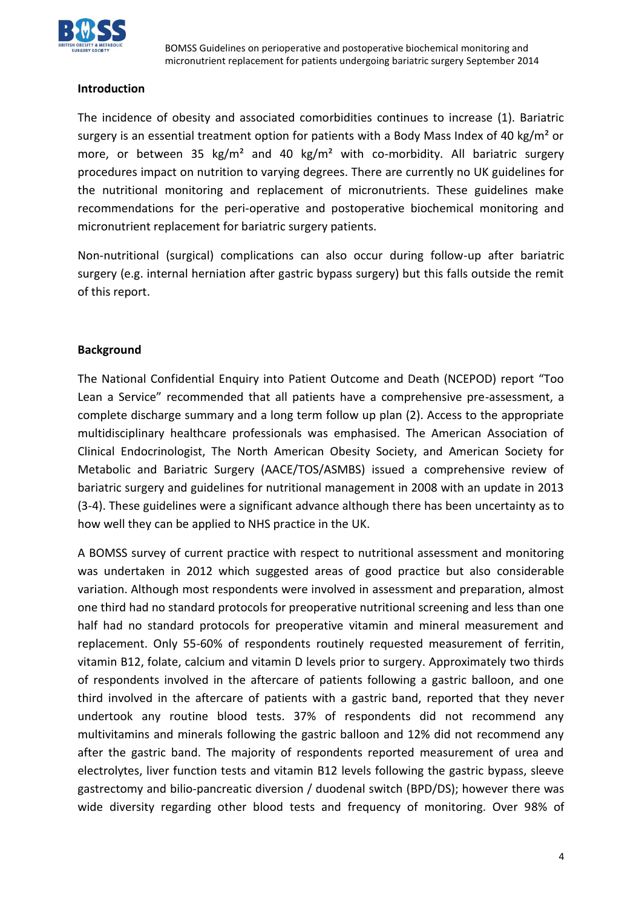

### **Introduction**

The incidence of obesity and associated comorbidities continues to increase (1). Bariatric surgery is an essential treatment option for patients with a Body Mass Index of 40 kg/m<sup>2</sup> or more, or between 35 kg/m<sup>2</sup> and 40 kg/m<sup>2</sup> with co-morbidity. All bariatric surgery procedures impact on nutrition to varying degrees. There are currently no UK guidelines for the nutritional monitoring and replacement of micronutrients. These guidelines make recommendations for the peri-operative and postoperative biochemical monitoring and micronutrient replacement for bariatric surgery patients.

Non-nutritional (surgical) complications can also occur during follow-up after bariatric surgery (e.g. internal herniation after gastric bypass surgery) but this falls outside the remit of this report.

### **Background**

The National Confidential Enquiry into Patient Outcome and Death (NCEPOD) report "Too Lean a Service" recommended that all patients have a comprehensive pre-assessment, a complete discharge summary and a long term follow up plan (2). Access to the appropriate multidisciplinary healthcare professionals was emphasised. The American Association of Clinical Endocrinologist, The North American Obesity Society, and American Society for Metabolic and Bariatric Surgery (AACE/TOS/ASMBS) issued a comprehensive review of bariatric surgery and guidelines for nutritional management in 2008 with an update in 2013 (3-4). These guidelines were a significant advance although there has been uncertainty as to how well they can be applied to NHS practice in the UK.

A BOMSS survey of current practice with respect to nutritional assessment and monitoring was undertaken in 2012 which suggested areas of good practice but also considerable variation. Although most respondents were involved in assessment and preparation, almost one third had no standard protocols for preoperative nutritional screening and less than one half had no standard protocols for preoperative vitamin and mineral measurement and replacement. Only 55-60% of respondents routinely requested measurement of ferritin, vitamin B12, folate, calcium and vitamin D levels prior to surgery. Approximately two thirds of respondents involved in the aftercare of patients following a gastric balloon, and one third involved in the aftercare of patients with a gastric band, reported that they never undertook any routine blood tests. 37% of respondents did not recommend any multivitamins and minerals following the gastric balloon and 12% did not recommend any after the gastric band. The majority of respondents reported measurement of urea and electrolytes, liver function tests and vitamin B12 levels following the gastric bypass, sleeve gastrectomy and bilio-pancreatic diversion / duodenal switch (BPD/DS); however there was wide diversity regarding other blood tests and frequency of monitoring. Over 98% of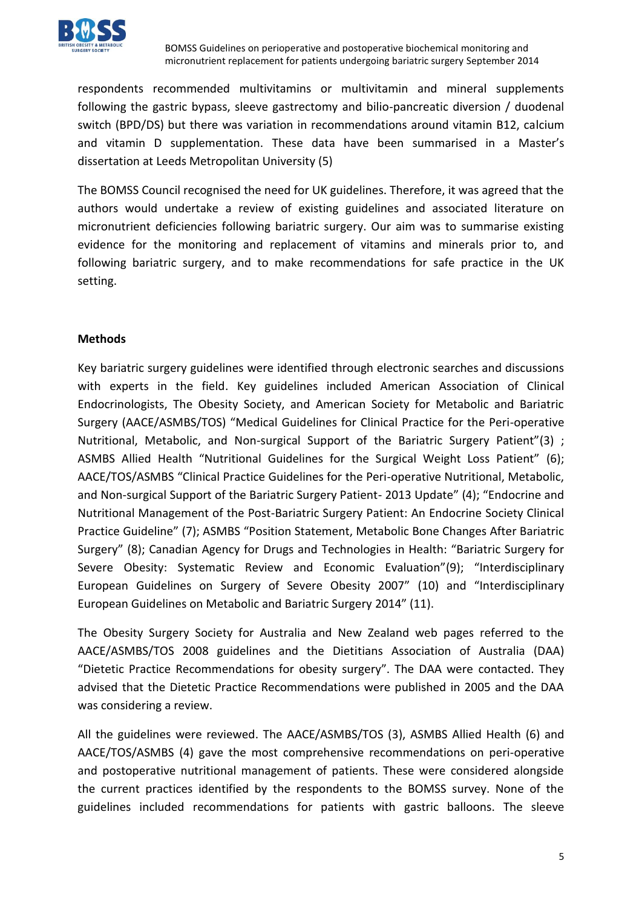

respondents recommended multivitamins or multivitamin and mineral supplements following the gastric bypass, sleeve gastrectomy and bilio-pancreatic diversion / duodenal switch (BPD/DS) but there was variation in recommendations around vitamin B12, calcium and vitamin D supplementation. These data have been summarised in a Master's dissertation at Leeds Metropolitan University (5)

The BOMSS Council recognised the need for UK guidelines. Therefore, it was agreed that the authors would undertake a review of existing guidelines and associated literature on micronutrient deficiencies following bariatric surgery. Our aim was to summarise existing evidence for the monitoring and replacement of vitamins and minerals prior to, and following bariatric surgery, and to make recommendations for safe practice in the UK setting.

### **Methods**

Key bariatric surgery guidelines were identified through electronic searches and discussions with experts in the field. Key guidelines included American Association of Clinical Endocrinologists, The Obesity Society, and American Society for Metabolic and Bariatric Surgery (AACE/ASMBS/TOS) "Medical Guidelines for Clinical Practice for the Peri-operative Nutritional, Metabolic, and Non-surgical Support of the Bariatric Surgery Patient"(3) ; ASMBS Allied Health "Nutritional Guidelines for the Surgical Weight Loss Patient" (6); AACE/TOS/ASMBS "Clinical Practice Guidelines for the Peri-operative Nutritional, Metabolic, and Non-surgical Support of the Bariatric Surgery Patient- 2013 Update" (4); "Endocrine and Nutritional Management of the Post-Bariatric Surgery Patient: An Endocrine Society Clinical Practice Guideline" (7); ASMBS "Position Statement, Metabolic Bone Changes After Bariatric Surgery" (8); Canadian Agency for Drugs and Technologies in Health: "Bariatric Surgery for Severe Obesity: Systematic Review and Economic Evaluation"(9); "Interdisciplinary European Guidelines on Surgery of Severe Obesity 2007" (10) and "Interdisciplinary European Guidelines on Metabolic and Bariatric Surgery 2014" (11).

The Obesity Surgery Society for Australia and New Zealand web pages referred to the AACE/ASMBS/TOS 2008 guidelines and the Dietitians Association of Australia (DAA) "Dietetic Practice Recommendations for obesity surgery". The DAA were contacted. They advised that the Dietetic Practice Recommendations were published in 2005 and the DAA was considering a review.

All the guidelines were reviewed. The AACE/ASMBS/TOS (3), ASMBS Allied Health (6) and AACE/TOS/ASMBS (4) gave the most comprehensive recommendations on peri-operative and postoperative nutritional management of patients. These were considered alongside the current practices identified by the respondents to the BOMSS survey. None of the guidelines included recommendations for patients with gastric balloons. The sleeve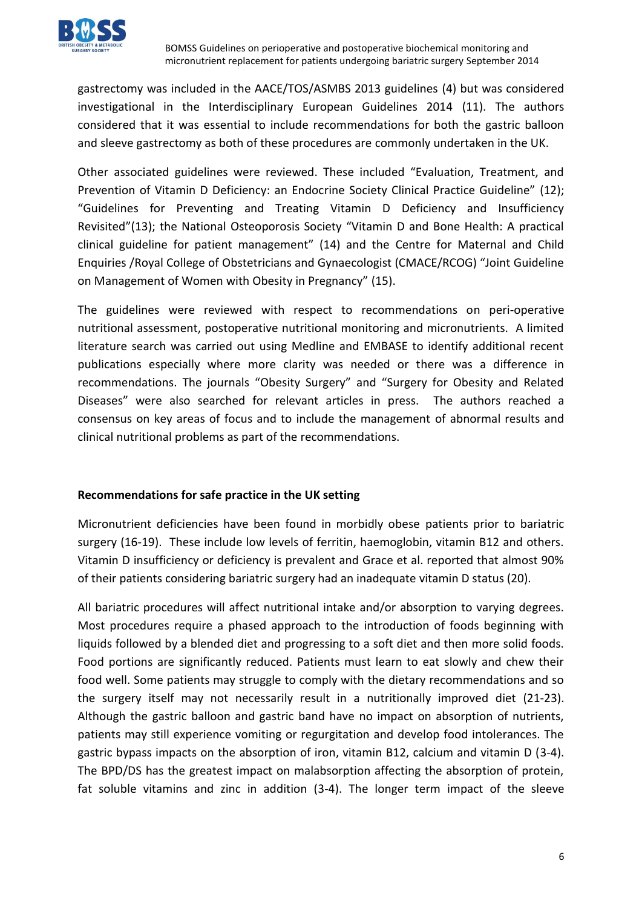

gastrectomy was included in the AACE/TOS/ASMBS 2013 guidelines (4) but was considered investigational in the Interdisciplinary European Guidelines 2014 (11). The authors considered that it was essential to include recommendations for both the gastric balloon and sleeve gastrectomy as both of these procedures are commonly undertaken in the UK.

Other associated guidelines were reviewed. These included "Evaluation, Treatment, and Prevention of Vitamin D Deficiency: an Endocrine Society Clinical Practice Guideline" (12); "Guidelines for Preventing and Treating Vitamin D Deficiency and Insufficiency Revisited"(13); the National Osteoporosis Society "Vitamin D and Bone Health: A practical clinical guideline for patient management" (14) and the Centre for Maternal and Child Enquiries /Royal College of Obstetricians and Gynaecologist (CMACE/RCOG) "Joint Guideline on Management of Women with Obesity in Pregnancy" (15).

The guidelines were reviewed with respect to recommendations on peri-operative nutritional assessment, postoperative nutritional monitoring and micronutrients. A limited literature search was carried out using Medline and EMBASE to identify additional recent publications especially where more clarity was needed or there was a difference in recommendations. The journals "Obesity Surgery" and "Surgery for Obesity and Related Diseases" were also searched for relevant articles in press. The authors reached a consensus on key areas of focus and to include the management of abnormal results and clinical nutritional problems as part of the recommendations.

# **Recommendations for safe practice in the UK setting**

Micronutrient deficiencies have been found in morbidly obese patients prior to bariatric surgery (16-19). These include low levels of ferritin, haemoglobin, vitamin B12 and others. Vitamin D insufficiency or deficiency is prevalent and Grace et al. reported that almost 90% of their patients considering bariatric surgery had an inadequate vitamin D status (20).

All bariatric procedures will affect nutritional intake and/or absorption to varying degrees. Most procedures require a phased approach to the introduction of foods beginning with liquids followed by a blended diet and progressing to a soft diet and then more solid foods. Food portions are significantly reduced. Patients must learn to eat slowly and chew their food well. Some patients may struggle to comply with the dietary recommendations and so the surgery itself may not necessarily result in a nutritionally improved diet (21-23). Although the gastric balloon and gastric band have no impact on absorption of nutrients, patients may still experience vomiting or regurgitation and develop food intolerances. The gastric bypass impacts on the absorption of iron, vitamin B12, calcium and vitamin D (3-4). The BPD/DS has the greatest impact on malabsorption affecting the absorption of protein, fat soluble vitamins and zinc in addition (3-4). The longer term impact of the sleeve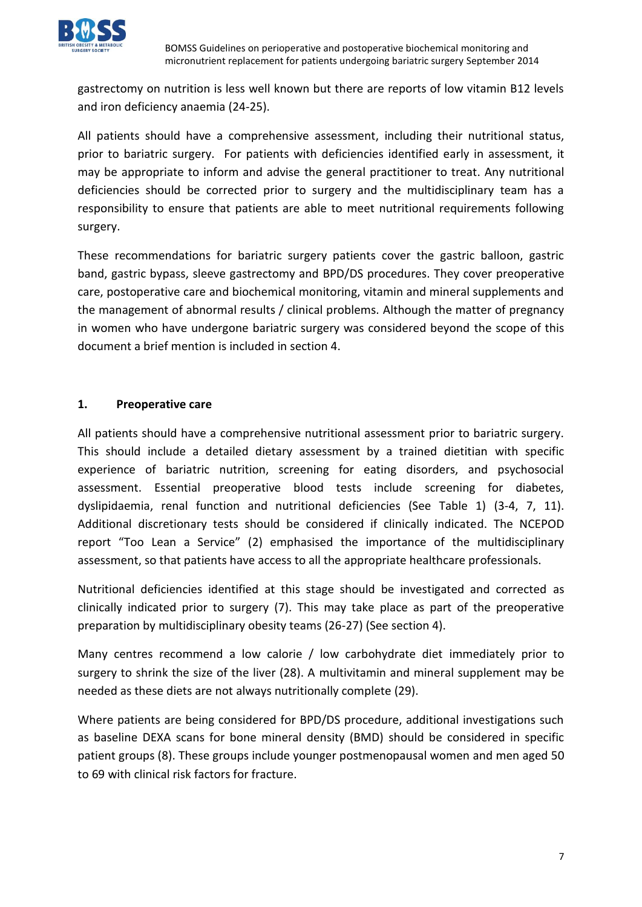

gastrectomy on nutrition is less well known but there are reports of low vitamin B12 levels and iron deficiency anaemia (24-25).

All patients should have a comprehensive assessment, including their nutritional status, prior to bariatric surgery. For patients with deficiencies identified early in assessment, it may be appropriate to inform and advise the general practitioner to treat. Any nutritional deficiencies should be corrected prior to surgery and the multidisciplinary team has a responsibility to ensure that patients are able to meet nutritional requirements following surgery.

These recommendations for bariatric surgery patients cover the gastric balloon, gastric band, gastric bypass, sleeve gastrectomy and BPD/DS procedures. They cover preoperative care, postoperative care and biochemical monitoring, vitamin and mineral supplements and the management of abnormal results / clinical problems. Although the matter of pregnancy in women who have undergone bariatric surgery was considered beyond the scope of this document a brief mention is included in section 4.

# **1. Preoperative care**

All patients should have a comprehensive nutritional assessment prior to bariatric surgery. This should include a detailed dietary assessment by a trained dietitian with specific experience of bariatric nutrition, screening for eating disorders, and psychosocial assessment. Essential preoperative blood tests include screening for diabetes, dyslipidaemia, renal function and nutritional deficiencies (See Table 1) (3-4, 7, 11). Additional discretionary tests should be considered if clinically indicated. The NCEPOD report "Too Lean a Service" (2) emphasised the importance of the multidisciplinary assessment, so that patients have access to all the appropriate healthcare professionals.

Nutritional deficiencies identified at this stage should be investigated and corrected as clinically indicated prior to surgery (7). This may take place as part of the preoperative preparation by multidisciplinary obesity teams (26-27) (See section 4).

Many centres recommend a low calorie / low carbohydrate diet immediately prior to surgery to shrink the size of the liver (28). A multivitamin and mineral supplement may be needed as these diets are not always nutritionally complete (29).

Where patients are being considered for BPD/DS procedure, additional investigations such as baseline DEXA scans for bone mineral density (BMD) should be considered in specific patient groups (8). These groups include younger postmenopausal women and men aged 50 to 69 with clinical risk factors for fracture.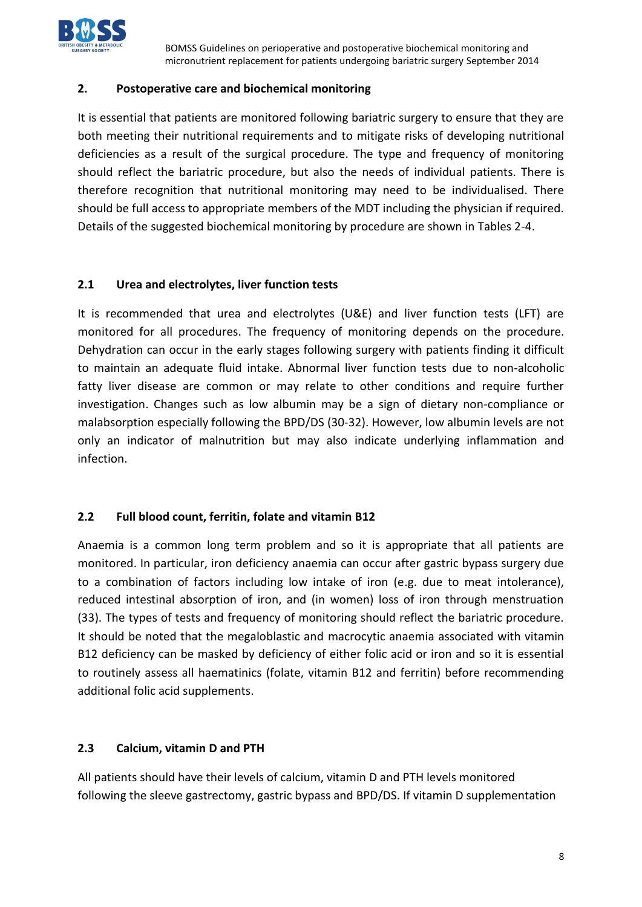

## **2. Postoperative care and biochemical monitoring**

It is essential that patients are monitored following bariatric surgery to ensure that they are both meeting their nutritional requirements and to mitigate risks of developing nutritional deficiencies as a result of the surgical procedure. The type and frequency of monitoring should reflect the bariatric procedure, but also the needs of individual patients. There is therefore recognition that nutritional monitoring may need to be individualised. There should be full access to appropriate members of the MDT including the physician if required. Details of the suggested biochemical monitoring by procedure are shown in Tables 2-4.

### **2.1 Urea and electrolytes, liver function tests**

It is recommended that urea and electrolytes (U&E) and liver function tests (LFT) are monitored for all procedures. The frequency of monitoring depends on the procedure. Dehydration can occur in the early stages following surgery with patients finding it difficult to maintain an adequate fluid intake. Abnormal liver function tests due to non-alcoholic fatty liver disease are common or may relate to other conditions and require further investigation. Changes such as low albumin may be a sign of dietary non-compliance or malabsorption especially following the BPD/DS (30-32). However, low albumin levels are not only an indicator of malnutrition but may also indicate underlying inflammation and infection.

# **2.2 Full blood count, ferritin, folate and vitamin B12**

Anaemia is a common long term problem and so it is appropriate that all patients are monitored. In particular, iron deficiency anaemia can occur after gastric bypass surgery due to a combination of factors including low intake of iron (e.g. due to meat intolerance), reduced intestinal absorption of iron, and (in women) loss of iron through menstruation (33). The types of tests and frequency of monitoring should reflect the bariatric procedure. It should be noted that the megaloblastic and macrocytic anaemia associated with vitamin B12 deficiency can be masked by deficiency of either folic acid or iron and so it is essential to routinely assess all haematinics (folate, vitamin B12 and ferritin) before recommending additional folic acid supplements.

#### **2.3 Calcium, vitamin D and PTH**

All patients should have their levels of calcium, vitamin D and PTH levels monitored following the sleeve gastrectomy, gastric bypass and BPD/DS. If vitamin D supplementation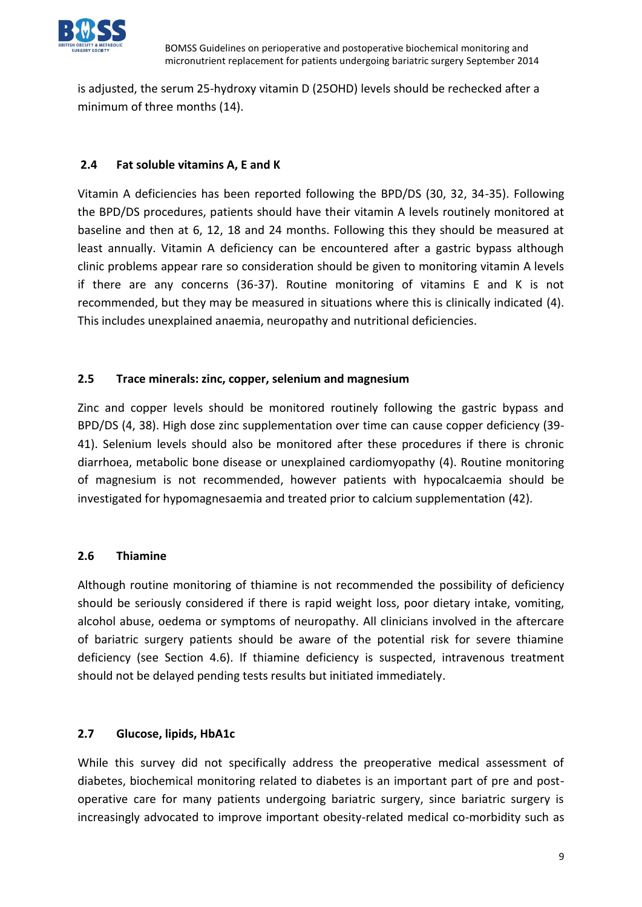

is adjusted, the serum 25-hydroxy vitamin D (25OHD) levels should be rechecked after a minimum of three months (14).

# **2.4 Fat soluble vitamins A, E and K**

Vitamin A deficiencies has been reported following the BPD/DS (30, 32, 34-35). Following the BPD/DS procedures, patients should have their vitamin A levels routinely monitored at baseline and then at 6, 12, 18 and 24 months. Following this they should be measured at least annually. Vitamin A deficiency can be encountered after a gastric bypass although clinic problems appear rare so consideration should be given to monitoring vitamin A levels if there are any concerns (36-37). Routine monitoring of vitamins E and K is not recommended, but they may be measured in situations where this is clinically indicated (4). This includes unexplained anaemia, neuropathy and nutritional deficiencies.

# **2.5 Trace minerals: zinc, copper, selenium and magnesium**

Zinc and copper levels should be monitored routinely following the gastric bypass and BPD/DS (4, 38). High dose zinc supplementation over time can cause copper deficiency (39- 41). Selenium levels should also be monitored after these procedures if there is chronic diarrhoea, metabolic bone disease or unexplained cardiomyopathy (4). Routine monitoring of magnesium is not recommended, however patients with hypocalcaemia should be investigated for hypomagnesaemia and treated prior to calcium supplementation (42).

# **2.6 Thiamine**

Although routine monitoring of thiamine is not recommended the possibility of deficiency should be seriously considered if there is rapid weight loss, poor dietary intake, vomiting, alcohol abuse, oedema or symptoms of neuropathy. All clinicians involved in the aftercare of bariatric surgery patients should be aware of the potential risk for severe thiamine deficiency (see Section 4.6). If thiamine deficiency is suspected, intravenous treatment should not be delayed pending tests results but initiated immediately.

# **2.7 Glucose, lipids, HbA1c**

While this survey did not specifically address the preoperative medical assessment of diabetes, biochemical monitoring related to diabetes is an important part of pre and postoperative care for many patients undergoing bariatric surgery, since bariatric surgery is increasingly advocated to improve important obesity-related medical co-morbidity such as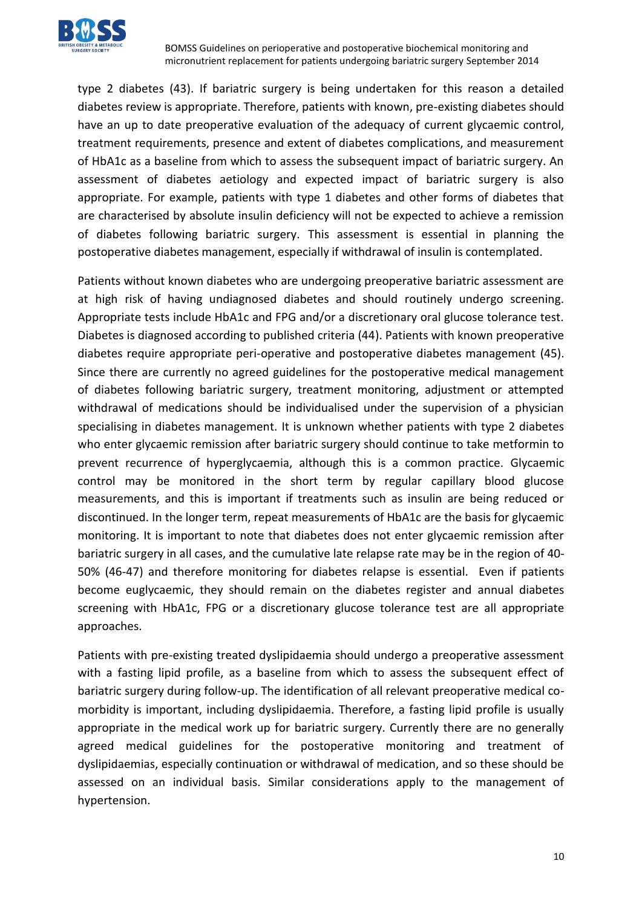

type 2 diabetes (43). If bariatric surgery is being undertaken for this reason a detailed diabetes review is appropriate. Therefore, patients with known, pre-existing diabetes should have an up to date preoperative evaluation of the adequacy of current glycaemic control, treatment requirements, presence and extent of diabetes complications, and measurement of HbA1c as a baseline from which to assess the subsequent impact of bariatric surgery. An assessment of diabetes aetiology and expected impact of bariatric surgery is also appropriate. For example, patients with type 1 diabetes and other forms of diabetes that are characterised by absolute insulin deficiency will not be expected to achieve a remission of diabetes following bariatric surgery. This assessment is essential in planning the postoperative diabetes management, especially if withdrawal of insulin is contemplated.

Patients without known diabetes who are undergoing preoperative bariatric assessment are at high risk of having undiagnosed diabetes and should routinely undergo screening. Appropriate tests include HbA1c and FPG and/or a discretionary oral glucose tolerance test. Diabetes is diagnosed according to published criteria (44). Patients with known preoperative diabetes require appropriate peri-operative and postoperative diabetes management (45). Since there are currently no agreed guidelines for the postoperative medical management of diabetes following bariatric surgery, treatment monitoring, adjustment or attempted withdrawal of medications should be individualised under the supervision of a physician specialising in diabetes management. It is unknown whether patients with type 2 diabetes who enter glycaemic remission after bariatric surgery should continue to take metformin to prevent recurrence of hyperglycaemia, although this is a common practice. Glycaemic control may be monitored in the short term by regular capillary blood glucose measurements, and this is important if treatments such as insulin are being reduced or discontinued. In the longer term, repeat measurements of HbA1c are the basis for glycaemic monitoring. It is important to note that diabetes does not enter glycaemic remission after bariatric surgery in all cases, and the cumulative late relapse rate may be in the region of 40- 50% (46-47) and therefore monitoring for diabetes relapse is essential. Even if patients become euglycaemic, they should remain on the diabetes register and annual diabetes screening with HbA1c, FPG or a discretionary glucose tolerance test are all appropriate approaches.

Patients with pre-existing treated dyslipidaemia should undergo a preoperative assessment with a fasting lipid profile, as a baseline from which to assess the subsequent effect of bariatric surgery during follow-up. The identification of all relevant preoperative medical comorbidity is important, including dyslipidaemia. Therefore, a fasting lipid profile is usually appropriate in the medical work up for bariatric surgery. Currently there are no generally agreed medical guidelines for the postoperative monitoring and treatment of dyslipidaemias, especially continuation or withdrawal of medication, and so these should be assessed on an individual basis. Similar considerations apply to the management of hypertension.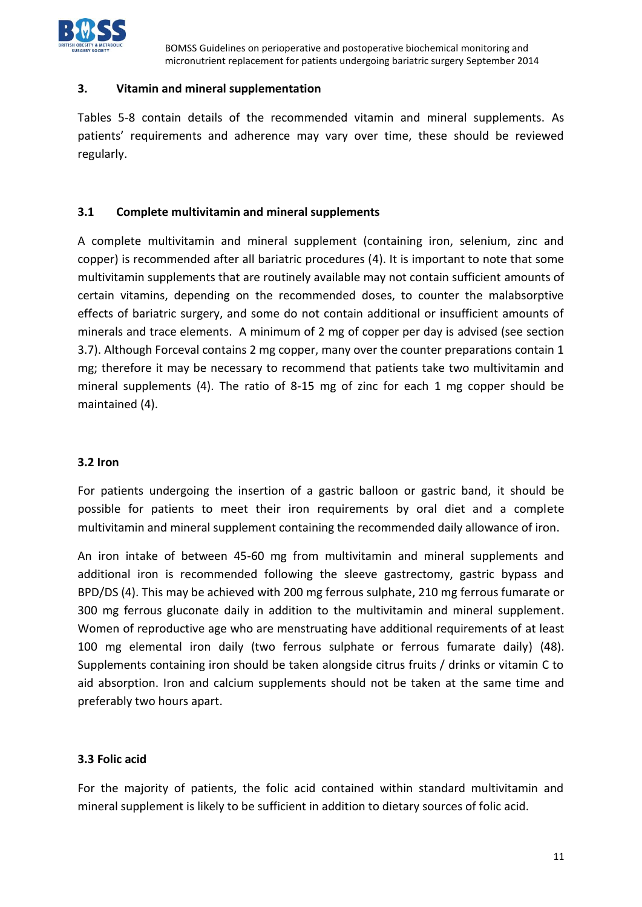

### **3. Vitamin and mineral supplementation**

Tables 5-8 contain details of the recommended vitamin and mineral supplements. As patients' requirements and adherence may vary over time, these should be reviewed regularly.

### **3.1 Complete multivitamin and mineral supplements**

A complete multivitamin and mineral supplement (containing iron, selenium, zinc and copper) is recommended after all bariatric procedures (4). It is important to note that some multivitamin supplements that are routinely available may not contain sufficient amounts of certain vitamins, depending on the recommended doses, to counter the malabsorptive effects of bariatric surgery, and some do not contain additional or insufficient amounts of minerals and trace elements. A minimum of 2 mg of copper per day is advised (see section 3.7). Although Forceval contains 2 mg copper, many over the counter preparations contain 1 mg; therefore it may be necessary to recommend that patients take two multivitamin and mineral supplements (4). The ratio of 8-15 mg of zinc for each 1 mg copper should be maintained (4).

# **3.2 Iron**

For patients undergoing the insertion of a gastric balloon or gastric band, it should be possible for patients to meet their iron requirements by oral diet and a complete multivitamin and mineral supplement containing the recommended daily allowance of iron.

An iron intake of between 45-60 mg from multivitamin and mineral supplements and additional iron is recommended following the sleeve gastrectomy, gastric bypass and BPD/DS (4). This may be achieved with 200 mg ferrous sulphate, 210 mg ferrous fumarate or 300 mg ferrous gluconate daily in addition to the multivitamin and mineral supplement. Women of reproductive age who are menstruating have additional requirements of at least 100 mg elemental iron daily (two ferrous sulphate or ferrous fumarate daily) (48). Supplements containing iron should be taken alongside citrus fruits / drinks or vitamin C to aid absorption. Iron and calcium supplements should not be taken at the same time and preferably two hours apart.

# **3.3 Folic acid**

For the majority of patients, the folic acid contained within standard multivitamin and mineral supplement is likely to be sufficient in addition to dietary sources of folic acid.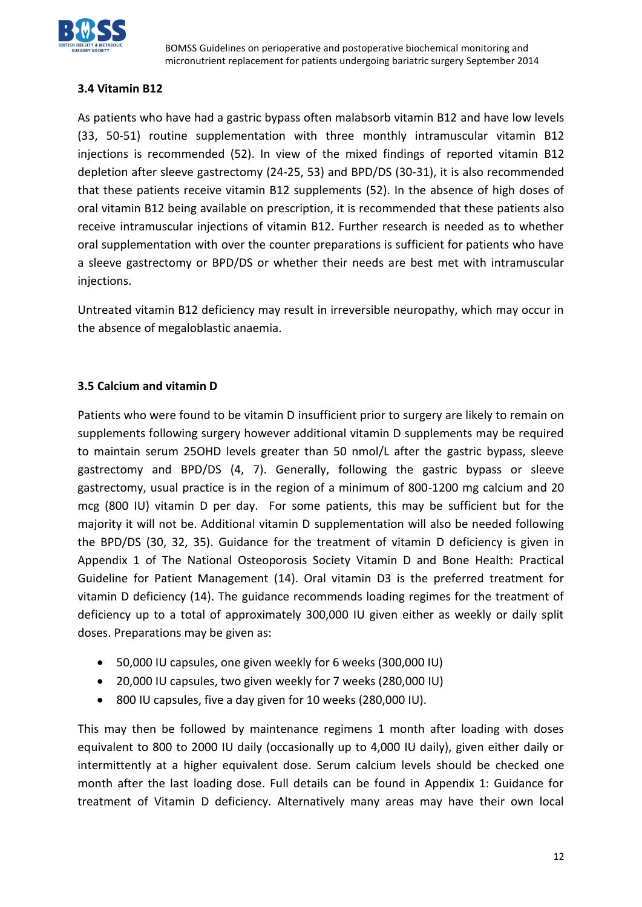

# **3.4 Vitamin B12**

As patients who have had a gastric bypass often malabsorb vitamin B12 and have low levels (33, 50-51) routine supplementation with three monthly intramuscular vitamin B12 injections is recommended (52). In view of the mixed findings of reported vitamin B12 depletion after sleeve gastrectomy (24-25, 53) and BPD/DS (30-31), it is also recommended that these patients receive vitamin B12 supplements (52). In the absence of high doses of oral vitamin B12 being available on prescription, it is recommended that these patients also receive intramuscular injections of vitamin B12. Further research is needed as to whether oral supplementation with over the counter preparations is sufficient for patients who have a sleeve gastrectomy or BPD/DS or whether their needs are best met with intramuscular injections.

Untreated vitamin B12 deficiency may result in irreversible neuropathy, which may occur in the absence of megaloblastic anaemia.

# **3.5 Calcium and vitamin D**

Patients who were found to be vitamin D insufficient prior to surgery are likely to remain on supplements following surgery however additional vitamin D supplements may be required to maintain serum 25OHD levels greater than 50 nmol/L after the gastric bypass, sleeve gastrectomy and BPD/DS (4, 7). Generally, following the gastric bypass or sleeve gastrectomy, usual practice is in the region of a minimum of 800-1200 mg calcium and 20 mcg (800 IU) vitamin D per day. For some patients, this may be sufficient but for the majority it will not be. Additional vitamin D supplementation will also be needed following the BPD/DS (30, 32, 35). Guidance for the treatment of vitamin D deficiency is given in Appendix 1 of The National Osteoporosis Society Vitamin D and Bone Health: Practical Guideline for Patient Management (14). Oral vitamin D3 is the preferred treatment for vitamin D deficiency (14). The guidance recommends loading regimes for the treatment of deficiency up to a total of approximately 300,000 IU given either as weekly or daily split doses. Preparations may be given as:

- 50,000 IU capsules, one given weekly for 6 weeks (300,000 IU)
- 20,000 IU capsules, two given weekly for 7 weeks (280,000 IU)
- 800 IU capsules, five a day given for 10 weeks (280,000 IU).

This may then be followed by maintenance regimens 1 month after loading with doses equivalent to 800 to 2000 IU daily (occasionally up to 4,000 IU daily), given either daily or intermittently at a higher equivalent dose. Serum calcium levels should be checked one month after the last loading dose. Full details can be found in Appendix 1: Guidance for treatment of Vitamin D deficiency. Alternatively many areas may have their own local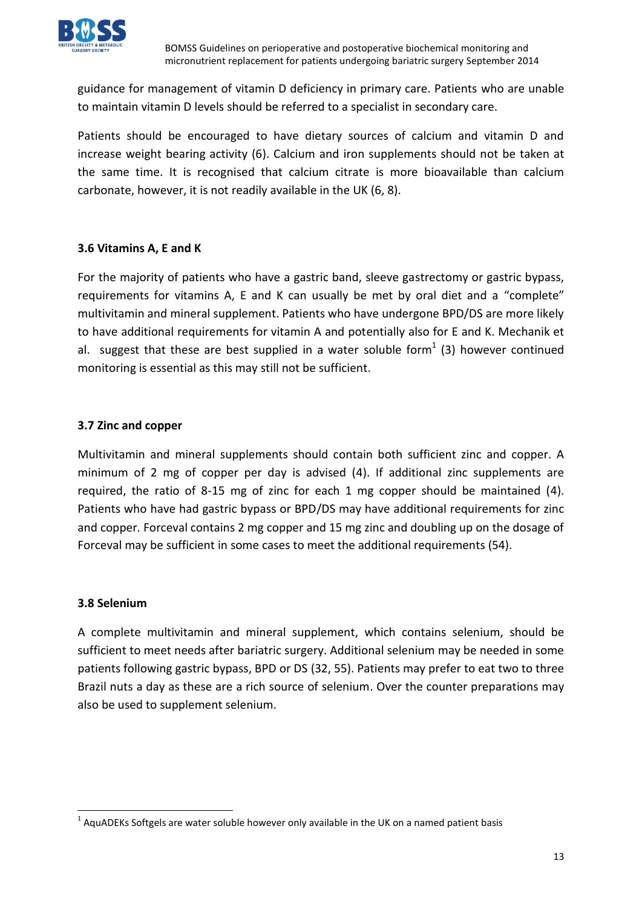

guidance for management of vitamin D deficiency in primary care. Patients who are unable to maintain vitamin D levels should be referred to a specialist in secondary care.

Patients should be encouraged to have dietary sources of calcium and vitamin D and increase weight bearing activity (6). Calcium and iron supplements should not be taken at the same time. It is recognised that calcium citrate is more bioavailable than calcium carbonate, however, it is not readily available in the UK (6, 8).

# **3.6 Vitamins A, E and K**

For the majority of patients who have a gastric band, sleeve gastrectomy or gastric bypass, requirements for vitamins A, E and K can usually be met by oral diet and a "complete" multivitamin and mineral supplement. Patients who have undergone BPD/DS are more likely to have additional requirements for vitamin A and potentially also for E and K. Mechanik et al. suggest that these are best supplied in a water soluble form<sup>1</sup> (3) however continued monitoring is essential as this may still not be sufficient.

# **3.7 Zinc and copper**

Multivitamin and mineral supplements should contain both sufficient zinc and copper. A minimum of 2 mg of copper per day is advised (4). If additional zinc supplements are required, the ratio of 8-15 mg of zinc for each 1 mg copper should be maintained (4). Patients who have had gastric bypass or BPD/DS may have additional requirements for zinc and copper. Forceval contains 2 mg copper and 15 mg zinc and doubling up on the dosage of Forceval may be sufficient in some cases to meet the additional requirements (54).

# **3.8 Selenium**

A complete multivitamin and mineral supplement, which contains selenium, should be sufficient to meet needs after bariatric surgery. Additional selenium may be needed in some patients following gastric bypass, BPD or DS (32, 55). Patients may prefer to eat two to three Brazil nuts a day as these are a rich source of selenium. Over the counter preparations may also be used to supplement selenium.

**<sup>.</sup>**  $<sup>1</sup>$  AquADEKs Softgels are water soluble however only available in the UK on a named patient basis</sup>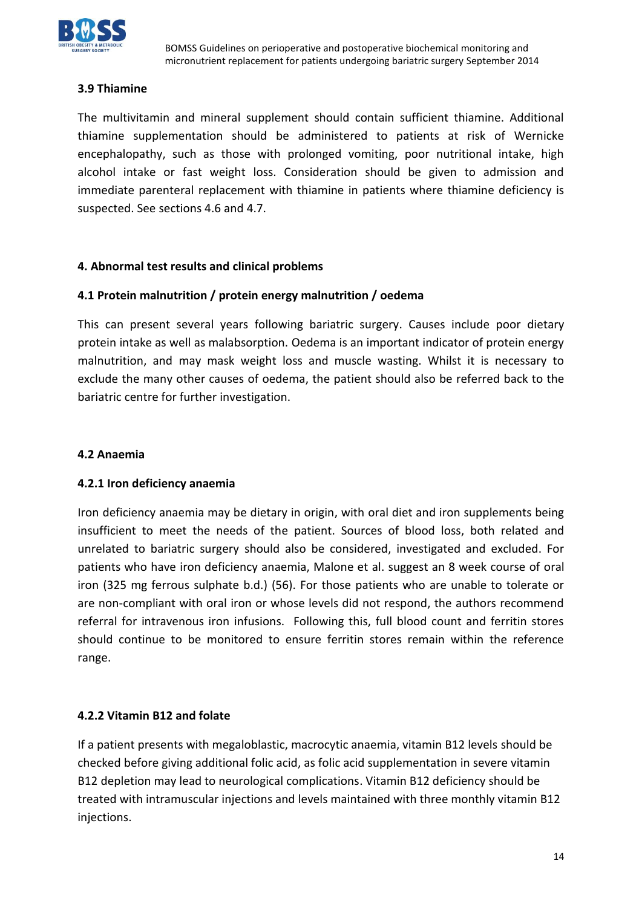

### **3.9 Thiamine**

The multivitamin and mineral supplement should contain sufficient thiamine. Additional thiamine supplementation should be administered to patients at risk of Wernicke encephalopathy, such as those with prolonged vomiting, poor nutritional intake, high alcohol intake or fast weight loss. Consideration should be given to admission and immediate parenteral replacement with thiamine in patients where thiamine deficiency is suspected. See sections 4.6 and 4.7.

#### **4. Abnormal test results and clinical problems**

### **4.1 Protein malnutrition / protein energy malnutrition / oedema**

This can present several years following bariatric surgery. Causes include poor dietary protein intake as well as malabsorption. Oedema is an important indicator of protein energy malnutrition, and may mask weight loss and muscle wasting. Whilst it is necessary to exclude the many other causes of oedema, the patient should also be referred back to the bariatric centre for further investigation.

#### **4.2 Anaemia**

#### **4.2.1 Iron deficiency anaemia**

Iron deficiency anaemia may be dietary in origin, with oral diet and iron supplements being insufficient to meet the needs of the patient. Sources of blood loss, both related and unrelated to bariatric surgery should also be considered, investigated and excluded. For patients who have iron deficiency anaemia, Malone et al. suggest an 8 week course of oral iron (325 mg ferrous sulphate b.d.) (56). For those patients who are unable to tolerate or are non-compliant with oral iron or whose levels did not respond, the authors recommend referral for intravenous iron infusions. Following this, full blood count and ferritin stores should continue to be monitored to ensure ferritin stores remain within the reference range.

# **4.2.2 Vitamin B12 and folate**

If a patient presents with megaloblastic, macrocytic anaemia, vitamin B12 levels should be checked before giving additional folic acid, as folic acid supplementation in severe vitamin B12 depletion may lead to neurological complications. Vitamin B12 deficiency should be treated with intramuscular injections and levels maintained with three monthly vitamin B12 injections.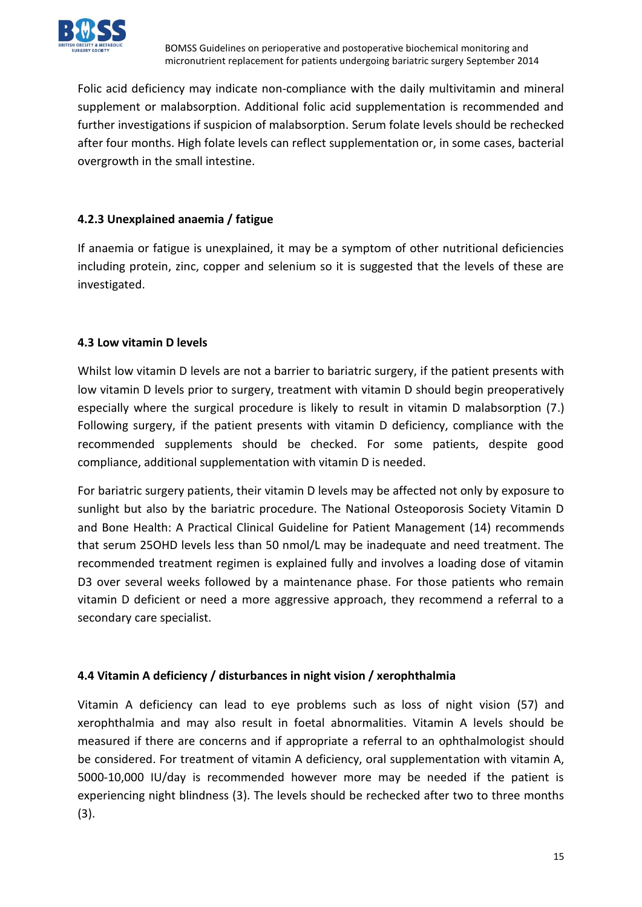

Folic acid deficiency may indicate non-compliance with the daily multivitamin and mineral supplement or malabsorption. Additional folic acid supplementation is recommended and further investigations if suspicion of malabsorption. Serum folate levels should be rechecked after four months. High folate levels can reflect supplementation or, in some cases, bacterial overgrowth in the small intestine.

# **4.2.3 Unexplained anaemia / fatigue**

If anaemia or fatigue is unexplained, it may be a symptom of other nutritional deficiencies including protein, zinc, copper and selenium so it is suggested that the levels of these are investigated.

# **4.3 Low vitamin D levels**

Whilst low vitamin D levels are not a barrier to bariatric surgery, if the patient presents with low vitamin D levels prior to surgery, treatment with vitamin D should begin preoperatively especially where the surgical procedure is likely to result in vitamin D malabsorption (7.) Following surgery, if the patient presents with vitamin D deficiency, compliance with the recommended supplements should be checked. For some patients, despite good compliance, additional supplementation with vitamin D is needed.

For bariatric surgery patients, their vitamin D levels may be affected not only by exposure to sunlight but also by the bariatric procedure. The National Osteoporosis Society Vitamin D and Bone Health: A Practical Clinical Guideline for Patient Management (14) recommends that serum 25OHD levels less than 50 nmol/L may be inadequate and need treatment. The recommended treatment regimen is explained fully and involves a loading dose of vitamin D3 over several weeks followed by a maintenance phase. For those patients who remain vitamin D deficient or need a more aggressive approach, they recommend a referral to a secondary care specialist.

# **4.4 Vitamin A deficiency / disturbances in night vision / xerophthalmia**

Vitamin A deficiency can lead to eye problems such as loss of night vision (57) and xerophthalmia and may also result in foetal abnormalities. Vitamin A levels should be measured if there are concerns and if appropriate a referral to an ophthalmologist should be considered. For treatment of vitamin A deficiency, oral supplementation with vitamin A, 5000-10,000 IU/day is recommended however more may be needed if the patient is experiencing night blindness (3). The levels should be rechecked after two to three months (3).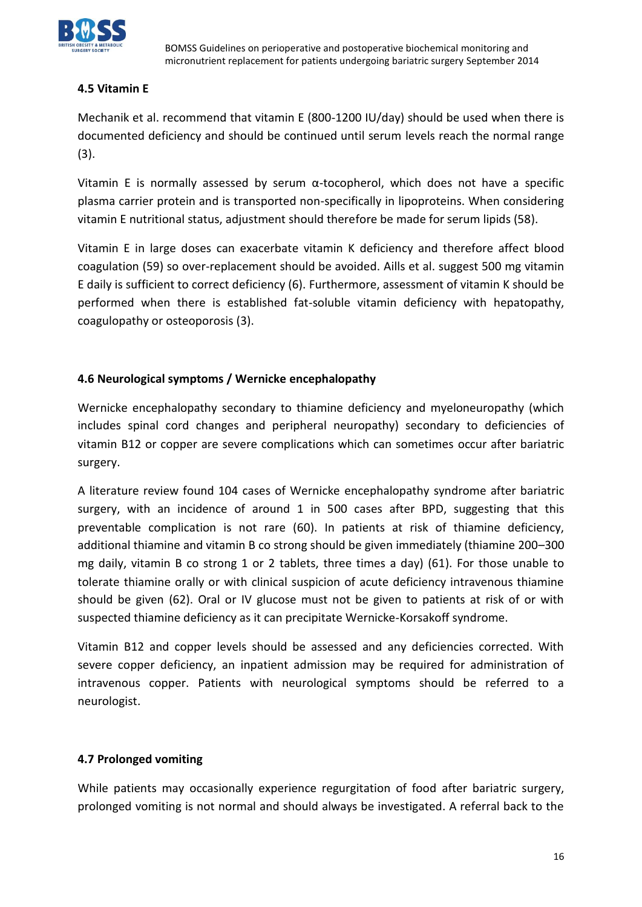

# **4.5 Vitamin E**

Mechanik et al. recommend that vitamin E (800-1200 IU/day) should be used when there is documented deficiency and should be continued until serum levels reach the normal range (3).

Vitamin E is normally assessed by serum  $\alpha$ -tocopherol, which does not have a specific plasma carrier protein and is transported non-specifically in lipoproteins. When considering vitamin E nutritional status, adjustment should therefore be made for serum lipids (58).

Vitamin E in large doses can exacerbate vitamin K deficiency and therefore affect blood coagulation (59) so over-replacement should be avoided. Aills et al. suggest 500 mg vitamin E daily is sufficient to correct deficiency (6). Furthermore, assessment of vitamin K should be performed when there is established fat-soluble vitamin deficiency with hepatopathy, coagulopathy or osteoporosis (3).

# **4.6 Neurological symptoms / Wernicke encephalopathy**

Wernicke encephalopathy secondary to thiamine deficiency and myeloneuropathy (which includes spinal cord changes and peripheral neuropathy) secondary to deficiencies of vitamin B12 or copper are severe complications which can sometimes occur after bariatric surgery.

A literature review found 104 cases of Wernicke encephalopathy syndrome after bariatric surgery, with an incidence of around 1 in 500 cases after BPD, suggesting that this preventable complication is not rare (60). In patients at risk of thiamine deficiency, additional thiamine and vitamin B co strong should be given immediately (thiamine 200–300 mg daily, vitamin B co strong 1 or 2 tablets, three times a day) (61). For those unable to tolerate thiamine orally or with clinical suspicion of acute deficiency intravenous thiamine should be given (62). Oral or IV glucose must not be given to patients at risk of or with suspected thiamine deficiency as it can precipitate Wernicke-Korsakoff syndrome.

Vitamin B12 and copper levels should be assessed and any deficiencies corrected. With severe copper deficiency, an inpatient admission may be required for administration of intravenous copper. Patients with neurological symptoms should be referred to a neurologist.

# **4.7 Prolonged vomiting**

While patients may occasionally experience regurgitation of food after bariatric surgery, prolonged vomiting is not normal and should always be investigated. A referral back to the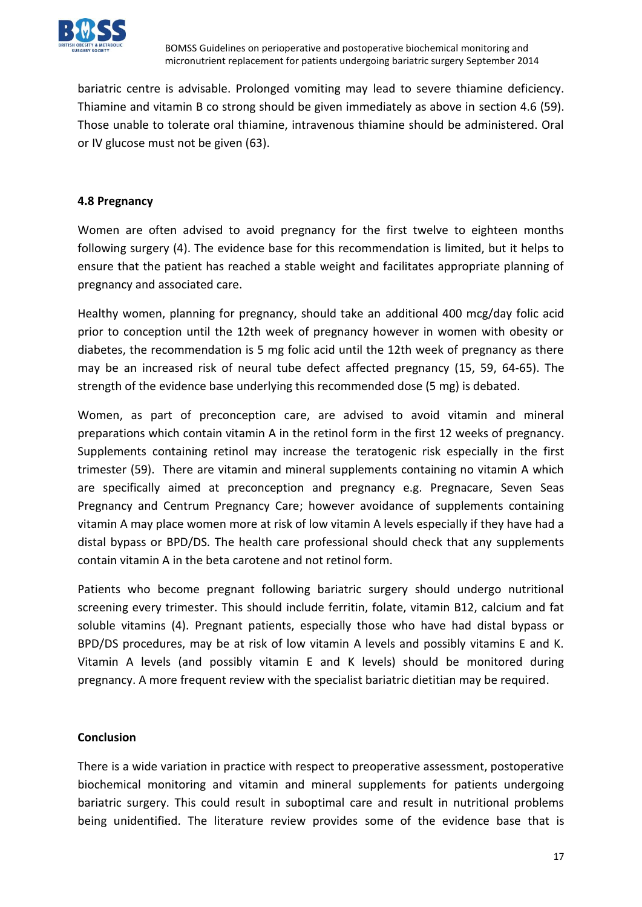

bariatric centre is advisable. Prolonged vomiting may lead to severe thiamine deficiency. Thiamine and vitamin B co strong should be given immediately as above in section 4.6 (59). Those unable to tolerate oral thiamine, intravenous thiamine should be administered. Oral or IV glucose must not be given (63).

## **4.8 Pregnancy**

Women are often advised to avoid pregnancy for the first twelve to eighteen months following surgery (4). The evidence base for this recommendation is limited, but it helps to ensure that the patient has reached a stable weight and facilitates appropriate planning of pregnancy and associated care.

Healthy women, planning for pregnancy, should take an additional 400 mcg/day folic acid prior to conception until the 12th week of pregnancy however in women with obesity or diabetes, the recommendation is 5 mg folic acid until the 12th week of pregnancy as there may be an increased risk of neural tube defect affected pregnancy (15, 59, 64-65). The strength of the evidence base underlying this recommended dose (5 mg) is debated.

Women, as part of preconception care, are advised to avoid vitamin and mineral preparations which contain vitamin A in the retinol form in the first 12 weeks of pregnancy. Supplements containing retinol may increase the teratogenic risk especially in the first trimester (59). There are vitamin and mineral supplements containing no vitamin A which are specifically aimed at preconception and pregnancy e.g. Pregnacare, Seven Seas Pregnancy and Centrum Pregnancy Care; however avoidance of supplements containing vitamin A may place women more at risk of low vitamin A levels especially if they have had a distal bypass or BPD/DS. The health care professional should check that any supplements contain vitamin A in the beta carotene and not retinol form.

Patients who become pregnant following bariatric surgery should undergo nutritional screening every trimester. This should include ferritin, folate, vitamin B12, calcium and fat soluble vitamins (4). Pregnant patients, especially those who have had distal bypass or BPD/DS procedures, may be at risk of low vitamin A levels and possibly vitamins E and K. Vitamin A levels (and possibly vitamin E and K levels) should be monitored during pregnancy. A more frequent review with the specialist bariatric dietitian may be required.

# **Conclusion**

There is a wide variation in practice with respect to preoperative assessment, postoperative biochemical monitoring and vitamin and mineral supplements for patients undergoing bariatric surgery. This could result in suboptimal care and result in nutritional problems being unidentified. The literature review provides some of the evidence base that is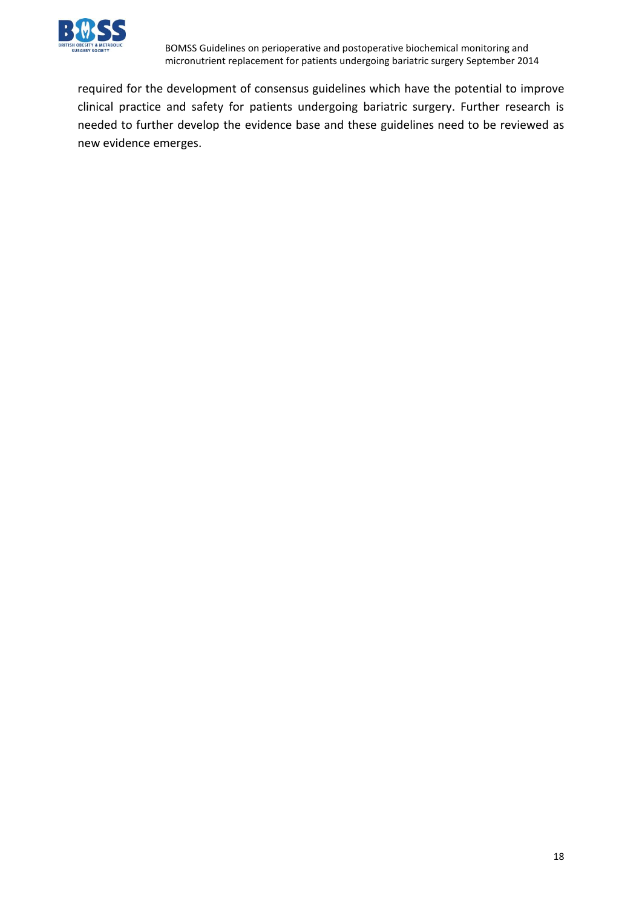

required for the development of consensus guidelines which have the potential to improve clinical practice and safety for patients undergoing bariatric surgery. Further research is needed to further develop the evidence base and these guidelines need to be reviewed as new evidence emerges.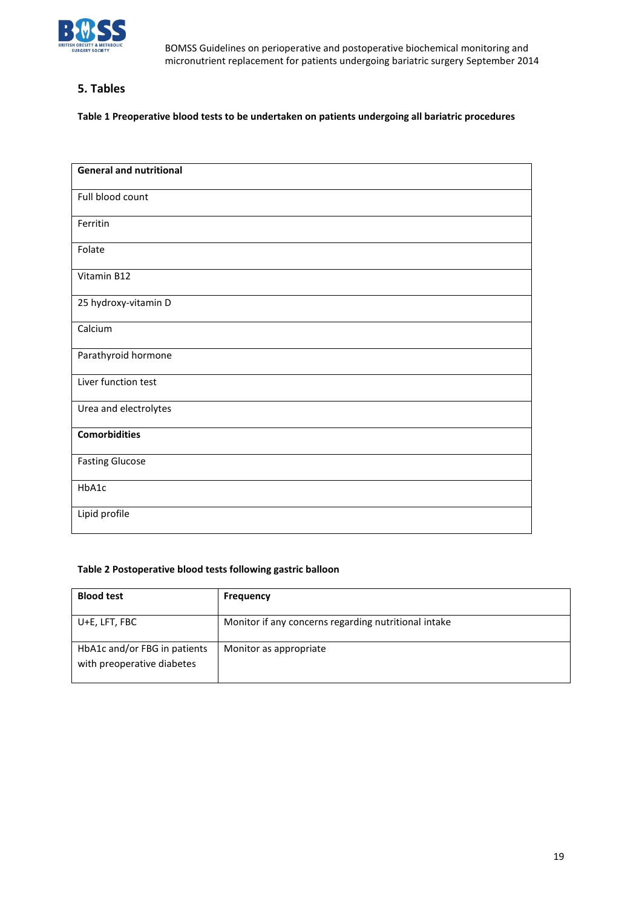

## **5. Tables**

**Table 1 Preoperative blood tests to be undertaken on patients undergoing all bariatric procedures**

| <b>General and nutritional</b> |
|--------------------------------|
| Full blood count               |
| Ferritin                       |
| Folate                         |
| Vitamin B12                    |
| 25 hydroxy-vitamin D           |
| Calcium                        |
| Parathyroid hormone            |
| Liver function test            |
| Urea and electrolytes          |
| <b>Comorbidities</b>           |
| <b>Fasting Glucose</b>         |
| HbA1c                          |
| Lipid profile                  |

#### **Table 2 Postoperative blood tests following gastric balloon**

| <b>Blood test</b>                                          | <b>Frequency</b>                                     |
|------------------------------------------------------------|------------------------------------------------------|
| U+E, LFT, FBC                                              | Monitor if any concerns regarding nutritional intake |
| HbA1c and/or FBG in patients<br>with preoperative diabetes | Monitor as appropriate                               |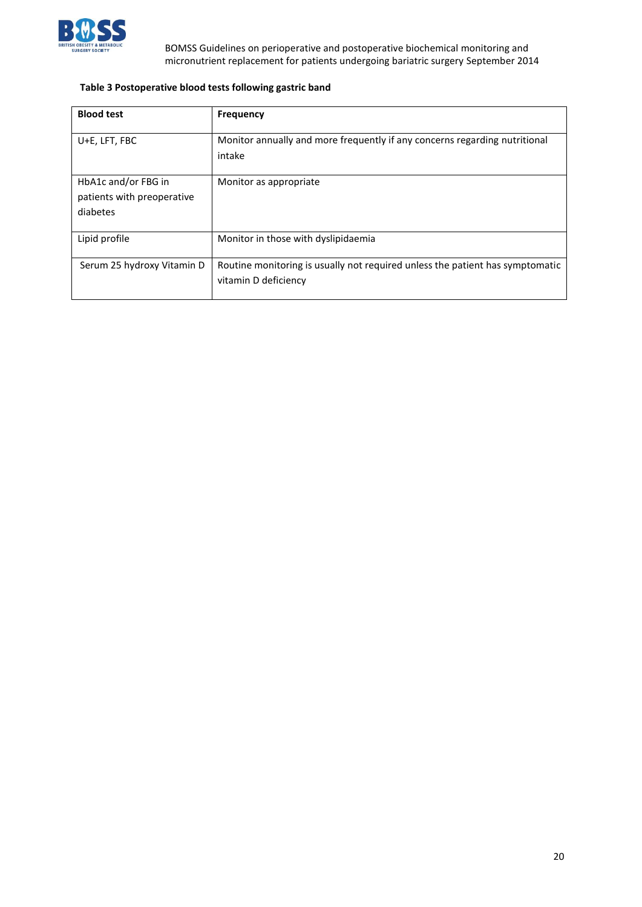

#### **Table 3 Postoperative blood tests following gastric band**

| <b>Blood test</b>                                             | <b>Frequency</b>                                                                                      |
|---------------------------------------------------------------|-------------------------------------------------------------------------------------------------------|
| U+E, LFT, FBC                                                 | Monitor annually and more frequently if any concerns regarding nutritional<br>intake                  |
| HbA1c and/or FBG in<br>patients with preoperative<br>diabetes | Monitor as appropriate                                                                                |
| Lipid profile                                                 | Monitor in those with dyslipidaemia                                                                   |
| Serum 25 hydroxy Vitamin D                                    | Routine monitoring is usually not required unless the patient has symptomatic<br>vitamin D deficiency |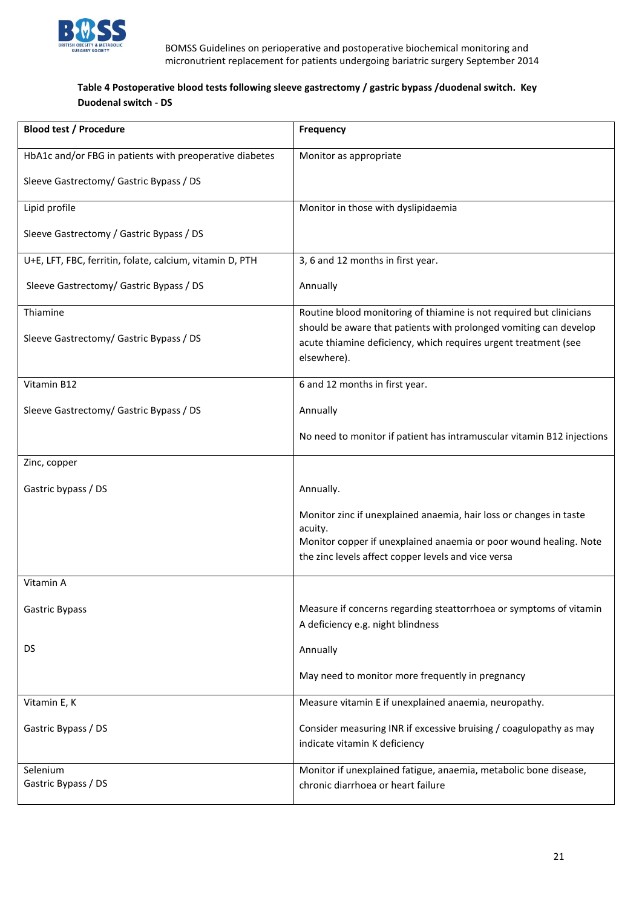

#### **Table 4 Postoperative blood tests following sleeve gastrectomy / gastric bypass /duodenal switch. Key Duodenal switch - DS**

| <b>Blood test / Procedure</b>                            | <b>Frequency</b>                                                                                                         |
|----------------------------------------------------------|--------------------------------------------------------------------------------------------------------------------------|
|                                                          |                                                                                                                          |
| HbA1c and/or FBG in patients with preoperative diabetes  | Monitor as appropriate                                                                                                   |
| Sleeve Gastrectomy/ Gastric Bypass / DS                  |                                                                                                                          |
| Lipid profile                                            | Monitor in those with dyslipidaemia                                                                                      |
| Sleeve Gastrectomy / Gastric Bypass / DS                 |                                                                                                                          |
| U+E, LFT, FBC, ferritin, folate, calcium, vitamin D, PTH | 3, 6 and 12 months in first year.                                                                                        |
| Sleeve Gastrectomy/ Gastric Bypass / DS                  | Annually                                                                                                                 |
| Thiamine                                                 | Routine blood monitoring of thiamine is not required but clinicians                                                      |
| Sleeve Gastrectomy/ Gastric Bypass / DS                  | should be aware that patients with prolonged vomiting can develop                                                        |
|                                                          | acute thiamine deficiency, which requires urgent treatment (see<br>elsewhere).                                           |
|                                                          |                                                                                                                          |
| Vitamin B12                                              | 6 and 12 months in first year.                                                                                           |
| Sleeve Gastrectomy/ Gastric Bypass / DS                  | Annually                                                                                                                 |
|                                                          | No need to monitor if patient has intramuscular vitamin B12 injections                                                   |
| Zinc, copper                                             |                                                                                                                          |
| Gastric bypass / DS                                      | Annually.                                                                                                                |
|                                                          | Monitor zinc if unexplained anaemia, hair loss or changes in taste                                                       |
|                                                          | acuity.                                                                                                                  |
|                                                          | Monitor copper if unexplained anaemia or poor wound healing. Note<br>the zinc levels affect copper levels and vice versa |
|                                                          |                                                                                                                          |
| Vitamin A                                                |                                                                                                                          |
| <b>Gastric Bypass</b>                                    | Measure if concerns regarding steattorrhoea or symptoms of vitamin<br>A deficiency e.g. night blindness                  |
| DS                                                       | Annually                                                                                                                 |
|                                                          | May need to monitor more frequently in pregnancy                                                                         |
| Vitamin E, K                                             | Measure vitamin E if unexplained anaemia, neuropathy.                                                                    |
| Gastric Bypass / DS                                      | Consider measuring INR if excessive bruising / coagulopathy as may                                                       |
|                                                          | indicate vitamin K deficiency                                                                                            |
|                                                          |                                                                                                                          |
| Selenium<br>Gastric Bypass / DS                          | Monitor if unexplained fatigue, anaemia, metabolic bone disease,<br>chronic diarrhoea or heart failure                   |
|                                                          |                                                                                                                          |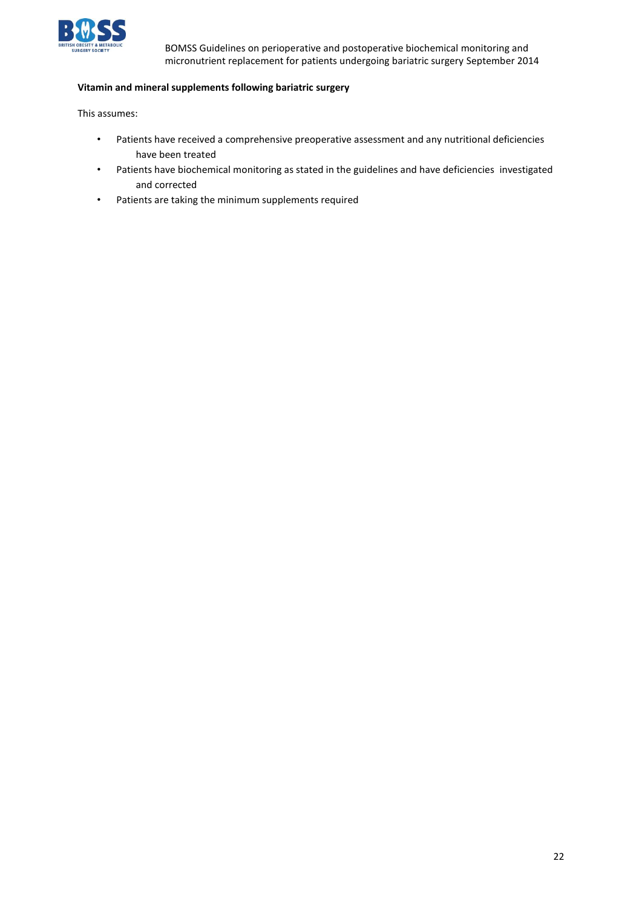

#### **Vitamin and mineral supplements following bariatric surgery**

This assumes:

- Patients have received a comprehensive preoperative assessment and any nutritional deficiencies have been treated
- Patients have biochemical monitoring as stated in the guidelines and have deficiencies investigated and corrected
- Patients are taking the minimum supplements required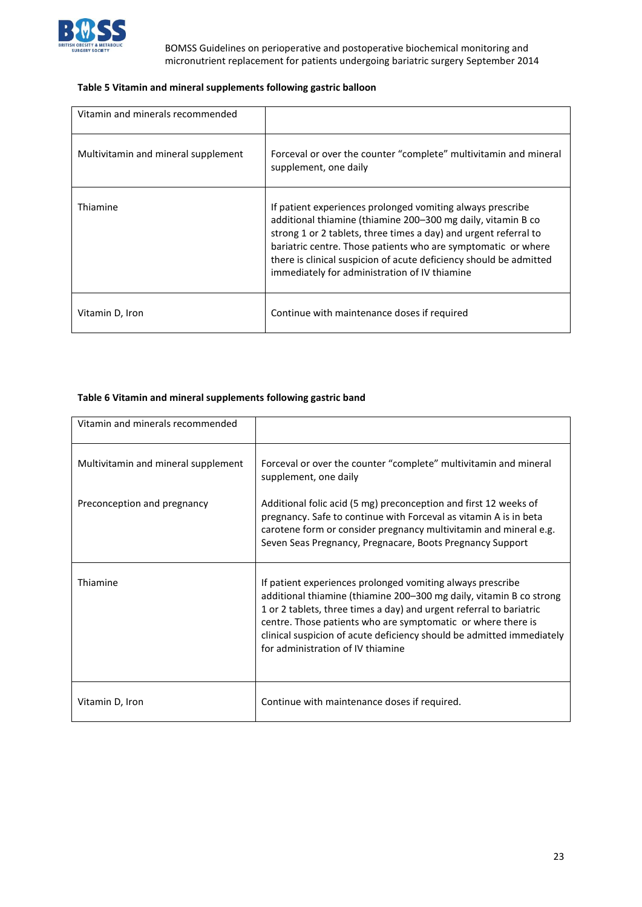

#### **Table 5 Vitamin and mineral supplements following gastric balloon**

| Vitamin and minerals recommended    |                                                                                                                                                                                                                                                                                                                                                                                        |
|-------------------------------------|----------------------------------------------------------------------------------------------------------------------------------------------------------------------------------------------------------------------------------------------------------------------------------------------------------------------------------------------------------------------------------------|
| Multivitamin and mineral supplement | Forceval or over the counter "complete" multivitamin and mineral<br>supplement, one daily                                                                                                                                                                                                                                                                                              |
| Thiamine                            | If patient experiences prolonged vomiting always prescribe<br>additional thiamine (thiamine 200–300 mg daily, vitamin B co<br>strong 1 or 2 tablets, three times a day) and urgent referral to<br>bariatric centre. Those patients who are symptomatic or where<br>there is clinical suspicion of acute deficiency should be admitted<br>immediately for administration of IV thiamine |
| Vitamin D, Iron                     | Continue with maintenance doses if required                                                                                                                                                                                                                                                                                                                                            |

#### **Table 6 Vitamin and mineral supplements following gastric band**

| Vitamin and minerals recommended    |                                                                                                                                                                                                                                                                                                                                                                                        |
|-------------------------------------|----------------------------------------------------------------------------------------------------------------------------------------------------------------------------------------------------------------------------------------------------------------------------------------------------------------------------------------------------------------------------------------|
| Multivitamin and mineral supplement | Forceval or over the counter "complete" multivitamin and mineral<br>supplement, one daily                                                                                                                                                                                                                                                                                              |
| Preconception and pregnancy         | Additional folic acid (5 mg) preconception and first 12 weeks of<br>pregnancy. Safe to continue with Forceval as vitamin A is in beta<br>carotene form or consider pregnancy multivitamin and mineral e.g.<br>Seven Seas Pregnancy, Pregnacare, Boots Pregnancy Support                                                                                                                |
| Thiamine                            | If patient experiences prolonged vomiting always prescribe<br>additional thiamine (thiamine 200-300 mg daily, vitamin B co strong<br>1 or 2 tablets, three times a day) and urgent referral to bariatric<br>centre. Those patients who are symptomatic or where there is<br>clinical suspicion of acute deficiency should be admitted immediately<br>for administration of IV thiamine |
| Vitamin D, Iron                     | Continue with maintenance doses if required.                                                                                                                                                                                                                                                                                                                                           |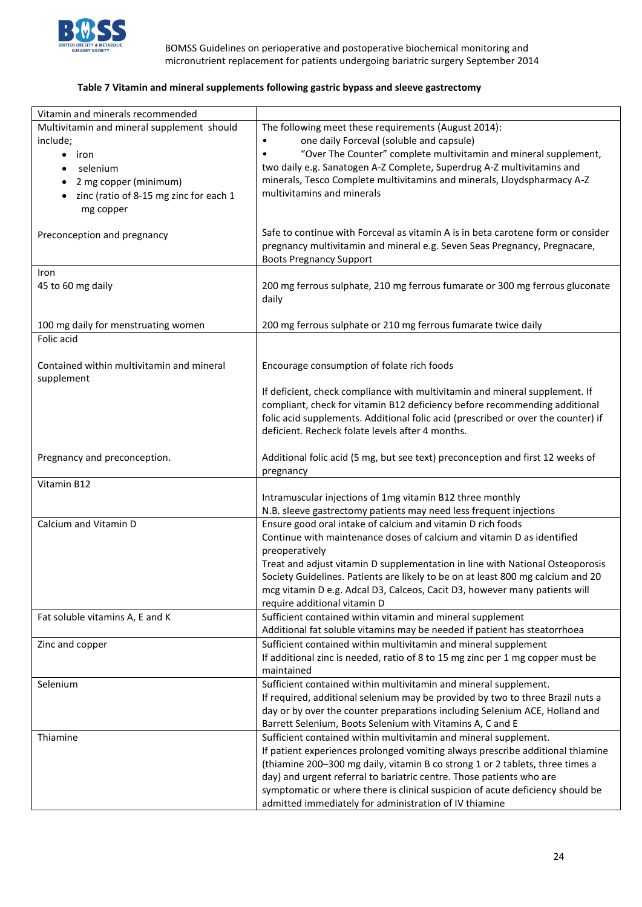

#### **Table 7 Vitamin and mineral supplements following gastric bypass and sleeve gastrectomy**

| Vitamin and minerals recommended                    |                                                                                                                                              |
|-----------------------------------------------------|----------------------------------------------------------------------------------------------------------------------------------------------|
| Multivitamin and mineral supplement should          | The following meet these requirements (August 2014):                                                                                         |
| include;                                            | one daily Forceval (soluble and capsule)                                                                                                     |
| iron<br>٠                                           | "Over The Counter" complete multivitamin and mineral supplement,<br>$\bullet$                                                                |
| selenium                                            | two daily e.g. Sanatogen A-Z Complete, Superdrug A-Z multivitamins and                                                                       |
| 2 mg copper (minimum)                               | minerals, Tesco Complete multivitamins and minerals, Lloydspharmacy A-Z                                                                      |
| zinc (ratio of 8-15 mg zinc for each 1<br>$\bullet$ | multivitamins and minerals                                                                                                                   |
| mg copper                                           |                                                                                                                                              |
| Preconception and pregnancy                         | Safe to continue with Forceval as vitamin A is in beta carotene form or consider                                                             |
|                                                     | pregnancy multivitamin and mineral e.g. Seven Seas Pregnancy, Pregnacare,                                                                    |
|                                                     | <b>Boots Pregnancy Support</b>                                                                                                               |
| Iron                                                |                                                                                                                                              |
| 45 to 60 mg daily                                   | 200 mg ferrous sulphate, 210 mg ferrous fumarate or 300 mg ferrous gluconate                                                                 |
|                                                     | daily                                                                                                                                        |
|                                                     |                                                                                                                                              |
| 100 mg daily for menstruating women<br>Folic acid   | 200 mg ferrous sulphate or 210 mg ferrous fumarate twice daily                                                                               |
|                                                     |                                                                                                                                              |
| Contained within multivitamin and mineral           | Encourage consumption of folate rich foods                                                                                                   |
| supplement                                          |                                                                                                                                              |
|                                                     | If deficient, check compliance with multivitamin and mineral supplement. If                                                                  |
|                                                     | compliant, check for vitamin B12 deficiency before recommending additional                                                                   |
|                                                     | folic acid supplements. Additional folic acid (prescribed or over the counter) if                                                            |
|                                                     | deficient. Recheck folate levels after 4 months.                                                                                             |
|                                                     |                                                                                                                                              |
| Pregnancy and preconception.                        | Additional folic acid (5 mg, but see text) preconception and first 12 weeks of                                                               |
| Vitamin B12                                         | pregnancy                                                                                                                                    |
|                                                     | Intramuscular injections of 1mg vitamin B12 three monthly                                                                                    |
|                                                     | N.B. sleeve gastrectomy patients may need less frequent injections                                                                           |
| Calcium and Vitamin D                               | Ensure good oral intake of calcium and vitamin D rich foods                                                                                  |
|                                                     | Continue with maintenance doses of calcium and vitamin D as identified                                                                       |
|                                                     | preoperatively                                                                                                                               |
|                                                     | Treat and adjust vitamin D supplementation in line with National Osteoporosis                                                                |
|                                                     | Society Guidelines. Patients are likely to be on at least 800 mg calcium and 20                                                              |
|                                                     | mcg vitamin D e.g. Adcal D3, Calceos, Cacit D3, however many patients will                                                                   |
|                                                     | require additional vitamin D                                                                                                                 |
| Fat soluble vitamins A, E and K                     | Sufficient contained within vitamin and mineral supplement                                                                                   |
|                                                     | Additional fat soluble vitamins may be needed if patient has steatorrhoea<br>Sufficient contained within multivitamin and mineral supplement |
| Zinc and copper                                     | If additional zinc is needed, ratio of 8 to 15 mg zinc per 1 mg copper must be                                                               |
|                                                     | maintained                                                                                                                                   |
| Selenium                                            | Sufficient contained within multivitamin and mineral supplement.                                                                             |
|                                                     | If required, additional selenium may be provided by two to three Brazil nuts a                                                               |
|                                                     | day or by over the counter preparations including Selenium ACE, Holland and                                                                  |
|                                                     | Barrett Selenium, Boots Selenium with Vitamins A, C and E                                                                                    |
| Thiamine                                            | Sufficient contained within multivitamin and mineral supplement.                                                                             |
|                                                     | If patient experiences prolonged vomiting always prescribe additional thiamine                                                               |
|                                                     | (thiamine 200-300 mg daily, vitamin B co strong 1 or 2 tablets, three times a                                                                |
|                                                     | day) and urgent referral to bariatric centre. Those patients who are                                                                         |
|                                                     | symptomatic or where there is clinical suspicion of acute deficiency should be                                                               |
|                                                     | admitted immediately for administration of IV thiamine                                                                                       |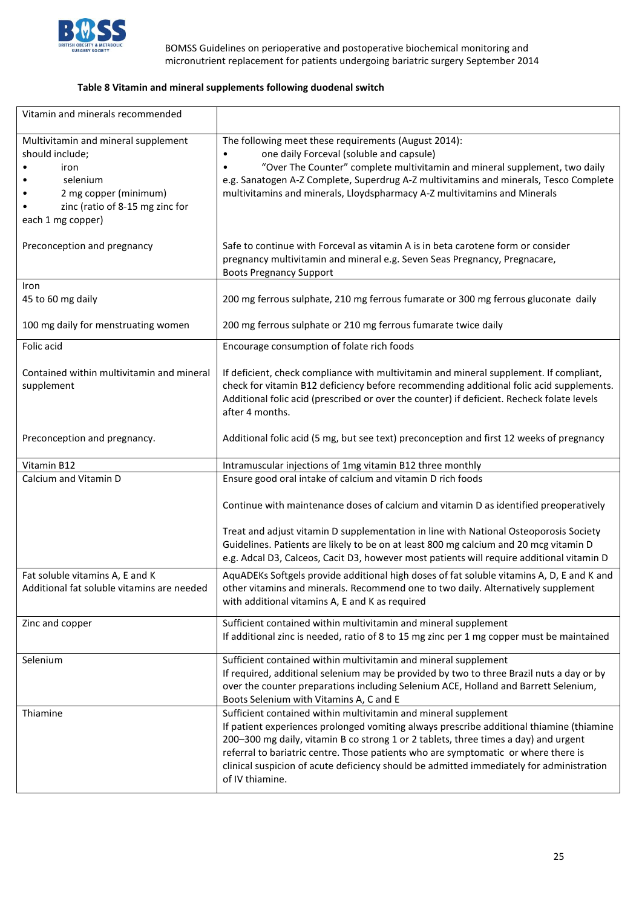

#### **Table 8 Vitamin and mineral supplements following duodenal switch**

| Vitamin and minerals recommended                                                                                                                            |                                                                                                                                                                                                                                                                                                                                                                                                                                                         |
|-------------------------------------------------------------------------------------------------------------------------------------------------------------|---------------------------------------------------------------------------------------------------------------------------------------------------------------------------------------------------------------------------------------------------------------------------------------------------------------------------------------------------------------------------------------------------------------------------------------------------------|
| Multivitamin and mineral supplement<br>should include;<br>iron<br>selenium<br>2 mg copper (minimum)<br>zinc (ratio of 8-15 mg zinc for<br>each 1 mg copper) | The following meet these requirements (August 2014):<br>one daily Forceval (soluble and capsule)<br>"Over The Counter" complete multivitamin and mineral supplement, two daily<br>e.g. Sanatogen A-Z Complete, Superdrug A-Z multivitamins and minerals, Tesco Complete<br>multivitamins and minerals, Lloydspharmacy A-Z multivitamins and Minerals                                                                                                    |
| Preconception and pregnancy                                                                                                                                 | Safe to continue with Forceval as vitamin A is in beta carotene form or consider<br>pregnancy multivitamin and mineral e.g. Seven Seas Pregnancy, Pregnacare,<br><b>Boots Pregnancy Support</b>                                                                                                                                                                                                                                                         |
| Iron<br>45 to 60 mg daily                                                                                                                                   | 200 mg ferrous sulphate, 210 mg ferrous fumarate or 300 mg ferrous gluconate daily                                                                                                                                                                                                                                                                                                                                                                      |
| 100 mg daily for menstruating women                                                                                                                         | 200 mg ferrous sulphate or 210 mg ferrous fumarate twice daily                                                                                                                                                                                                                                                                                                                                                                                          |
| Folic acid                                                                                                                                                  | Encourage consumption of folate rich foods                                                                                                                                                                                                                                                                                                                                                                                                              |
| Contained within multivitamin and mineral<br>supplement                                                                                                     | If deficient, check compliance with multivitamin and mineral supplement. If compliant,<br>check for vitamin B12 deficiency before recommending additional folic acid supplements.<br>Additional folic acid (prescribed or over the counter) if deficient. Recheck folate levels<br>after 4 months.                                                                                                                                                      |
| Preconception and pregnancy.                                                                                                                                | Additional folic acid (5 mg, but see text) preconception and first 12 weeks of pregnancy                                                                                                                                                                                                                                                                                                                                                                |
| Vitamin B12                                                                                                                                                 | Intramuscular injections of 1mg vitamin B12 three monthly                                                                                                                                                                                                                                                                                                                                                                                               |
| Calcium and Vitamin D                                                                                                                                       | Ensure good oral intake of calcium and vitamin D rich foods                                                                                                                                                                                                                                                                                                                                                                                             |
|                                                                                                                                                             | Continue with maintenance doses of calcium and vitamin D as identified preoperatively                                                                                                                                                                                                                                                                                                                                                                   |
|                                                                                                                                                             | Treat and adjust vitamin D supplementation in line with National Osteoporosis Society<br>Guidelines. Patients are likely to be on at least 800 mg calcium and 20 mcg vitamin D<br>e.g. Adcal D3, Calceos, Cacit D3, however most patients will require additional vitamin D                                                                                                                                                                             |
| Fat soluble vitamins A, E and K<br>Additional fat soluble vitamins are needed                                                                               | AquADEKs Softgels provide additional high doses of fat soluble vitamins A, D, E and K and<br>other vitamins and minerals. Recommend one to two daily. Alternatively supplement<br>with additional vitamins A, E and K as required                                                                                                                                                                                                                       |
| Zinc and copper                                                                                                                                             | Sufficient contained within multivitamin and mineral supplement<br>If additional zinc is needed, ratio of 8 to 15 mg zinc per 1 mg copper must be maintained                                                                                                                                                                                                                                                                                            |
| Selenium                                                                                                                                                    | Sufficient contained within multivitamin and mineral supplement<br>If required, additional selenium may be provided by two to three Brazil nuts a day or by<br>over the counter preparations including Selenium ACE, Holland and Barrett Selenium,<br>Boots Selenium with Vitamins A, C and E                                                                                                                                                           |
| Thiamine                                                                                                                                                    | Sufficient contained within multivitamin and mineral supplement<br>If patient experiences prolonged vomiting always prescribe additional thiamine (thiamine<br>200-300 mg daily, vitamin B co strong 1 or 2 tablets, three times a day) and urgent<br>referral to bariatric centre. Those patients who are symptomatic or where there is<br>clinical suspicion of acute deficiency should be admitted immediately for administration<br>of IV thiamine. |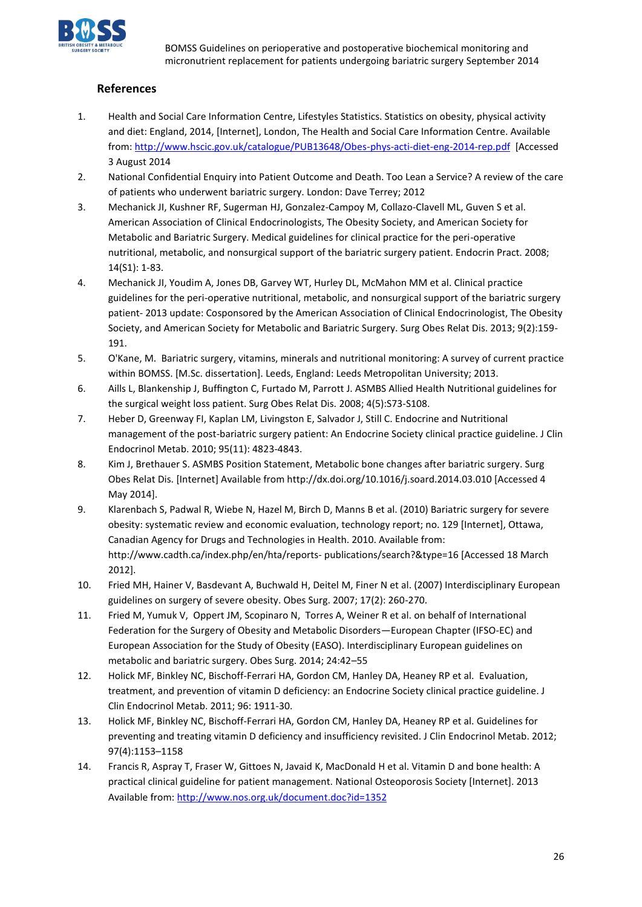

# **References**

- 1. Health and Social Care Information Centre, Lifestyles Statistics. Statistics on obesity, physical activity and diet: England, 2014, [Internet], London, The Health and Social Care Information Centre. Available from:<http://www.hscic.gov.uk/catalogue/PUB13648/Obes-phys-acti-diet-eng-2014-rep.pdf>[Accessed 3 August 2014
- 2. National Confidential Enquiry into Patient Outcome and Death. Too Lean a Service? A review of the care of patients who underwent bariatric surgery. London: Dave Terrey; 2012
- 3. Mechanick JI, Kushner RF, Sugerman HJ, Gonzalez-Campoy M, Collazo-Clavell ML, Guven S et al. American Association of Clinical Endocrinologists, The Obesity Society, and American Society for Metabolic and Bariatric Surgery. Medical guidelines for clinical practice for the peri-operative nutritional, metabolic, and nonsurgical support of the bariatric surgery patient. Endocrin Pract. 2008; 14(S1): 1-83.
- 4. Mechanick JI, Youdim A, Jones DB, Garvey WT, Hurley DL, McMahon MM et al. Clinical practice guidelines for the peri-operative nutritional, metabolic, and nonsurgical support of the bariatric surgery patient- 2013 update: Cosponsored by the American Association of Clinical Endocrinologist, The Obesity Society, and American Society for Metabolic and Bariatric Surgery. Surg Obes Relat Dis. 2013; 9(2):159- 191.
- 5. O'Kane, M. Bariatric surgery, vitamins, minerals and nutritional monitoring: A survey of current practice within BOMSS. [M.Sc. dissertation]. Leeds, England: Leeds Metropolitan University; 2013.
- 6. Aills L, Blankenship J, Buffington C, Furtado M, Parrott J. ASMBS Allied Health Nutritional guidelines for the surgical weight loss patient. Surg Obes Relat Dis. 2008; 4(5):S73-S108.
- 7. Heber D, Greenway FI, Kaplan LM, Livingston E, Salvador J, Still C. Endocrine and Nutritional management of the post-bariatric surgery patient: An Endocrine Society clinical practice guideline. J Clin Endocrinol Metab. 2010; 95(11): 4823-4843.
- 8. Kim J, Brethauer S. ASMBS Position Statement, Metabolic bone changes after bariatric surgery. Surg Obes Relat Dis. [Internet] Available from http://dx.doi.org/10.1016/j.soard.2014.03.010 [Accessed 4 May 2014].
- 9. Klarenbach S, Padwal R, Wiebe N, Hazel M, Birch D, Manns B et al. (2010) Bariatric surgery for severe obesity: systematic review and economic evaluation, technology report; no. 129 [Internet], Ottawa, Canadian Agency for Drugs and Technologies in Health. 2010. Available from: http://www.cadth.ca/index.php/en/hta/reports- publications/search?&type=16 [Accessed 18 March 2012].
- 10. Fried MH, Hainer V, Basdevant A, Buchwald H, Deitel M, Finer N et al. (2007) Interdisciplinary European guidelines on surgery of severe obesity. Obes Surg. 2007; 17(2): 260-270.
- 11. Fried M, Yumuk V, Oppert JM, Scopinaro N, Torres A, Weiner R et al. on behalf of International Federation for the Surgery of Obesity and Metabolic Disorders—European Chapter (IFSO-EC) and European Association for the Study of Obesity (EASO). Interdisciplinary European guidelines on metabolic and bariatric surgery. Obes Surg. 2014; 24:42–55
- 12. Holick MF, Binkley NC, Bischoff-Ferrari HA, Gordon CM, Hanley DA, Heaney RP et al. Evaluation, treatment, and prevention of vitamin D deficiency: an Endocrine Society clinical practice guideline. J Clin Endocrinol Metab. 2011; 96: 1911-30.
- 13. Holick MF, Binkley NC, Bischoff-Ferrari HA, Gordon CM, Hanley DA, Heaney RP et al. Guidelines for preventing and treating vitamin D deficiency and insufficiency revisited. J Clin Endocrinol Metab. 2012; 97(4):1153–1158
- 14. Francis R, Aspray T, Fraser W, Gittoes N, Javaid K, MacDonald H et al. Vitamin D and bone health: A practical clinical guideline for patient management. National Osteoporosis Society [Internet]. 2013 Available from:<http://www.nos.org.uk/document.doc?id=1352>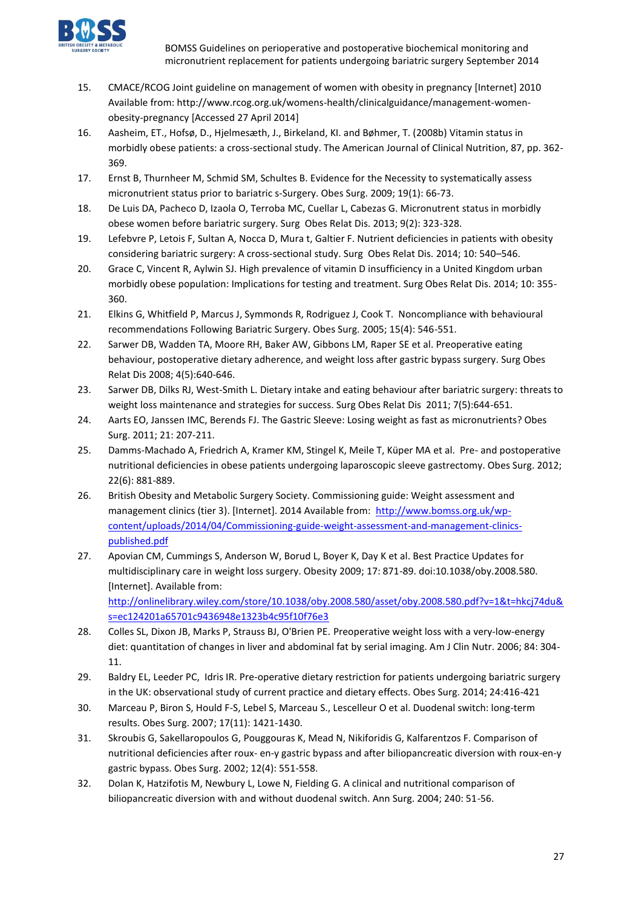

- 15. CMACE/RCOG Joint guideline on management of women with obesity in pregnancy [Internet] 2010 Available from: http://www.rcog.org.uk/womens-health/clinicalguidance/management-womenobesity-pregnancy [Accessed 27 April 2014]
- 16. Aasheim, ET., Hofsø, D., Hjelmesæth, J., Birkeland, KI. and Bøhmer, T. (2008b) Vitamin status in morbidly obese patients: a cross-sectional study. The American Journal of Clinical Nutrition, 87, pp. 362- 369.
- 17. Ernst B, Thurnheer M, Schmid SM, Schultes B. Evidence for the Necessity to systematically assess micronutrient status prior to bariatric s-Surgery. Obes Surg. 2009; 19(1): 66-73.
- 18. De Luis DA, Pacheco D, Izaola O, Terroba MC, Cuellar L, Cabezas G. Micronutrent status in morbidly obese women before bariatric surgery. Surg Obes Relat Dis. 2013; 9(2): 323-328.
- 19. Lefebvre P, Letois F, Sultan A, Nocca D, Mura t, Galtier F. Nutrient deficiencies in patients with obesity considering bariatric surgery: A cross-sectional study. Surg Obes Relat Dis. 2014; 10: 540–546.
- 20. Grace C, Vincent R, Aylwin SJ. High prevalence of vitamin D insufficiency in a United Kingdom urban morbidly obese population: Implications for testing and treatment. Surg Obes Relat Dis. 2014; 10: 355- 360.
- 21. Elkins G, Whitfield P, Marcus J, Symmonds R, Rodriguez J, Cook T. Noncompliance with behavioural recommendations Following Bariatric Surgery. Obes Surg. 2005; 15(4): 546-551.
- 22. Sarwer DB, Wadden TA, Moore RH, Baker AW, Gibbons LM, Raper SE et al. Preoperative eating behaviour, postoperative dietary adherence, and weight loss after gastric bypass surgery. Surg Obes Relat Dis 2008; 4(5):640-646.
- 23. Sarwer DB, Dilks RJ, West-Smith L. Dietary intake and eating behaviour after bariatric surgery: threats to weight loss maintenance and strategies for success. Surg Obes Relat Dis 2011; 7(5):644-651.
- 24. Aarts EO, Janssen IMC, Berends FJ. The Gastric Sleeve: Losing weight as fast as micronutrients? Obes Surg. 2011; 21: 207-211.
- 25. Damms-Machado A, Friedrich A, Kramer KM, Stingel K, Meile T, Küper MA et al. Pre- and postoperative nutritional deficiencies in obese patients undergoing laparoscopic sleeve gastrectomy. Obes Surg. 2012; 22(6): 881-889.
- 26. British Obesity and Metabolic Surgery Society. Commissioning guide: Weight assessment and management clinics (tier 3). [Internet]. 2014 Available from: [http://www.bomss.org.uk/wp](http://www.bomss.org.uk/wp-content/uploads/2014/04/Commissioning-guide-weight-assessment-and-management-clinics-published.pdf)[content/uploads/2014/04/Commissioning-guide-weight-assessment-and-management-clinics](http://www.bomss.org.uk/wp-content/uploads/2014/04/Commissioning-guide-weight-assessment-and-management-clinics-published.pdf)[published.pdf](http://www.bomss.org.uk/wp-content/uploads/2014/04/Commissioning-guide-weight-assessment-and-management-clinics-published.pdf)
- 27. Apovian CM, Cummings S, Anderson W, Borud L, Boyer K, Day K et al. Best Practice Updates for multidisciplinary care in weight loss surgery. Obesity 2009; 17: 871-89. doi:10.1038/oby.2008.580. [Internet]. Available from: [http://onlinelibrary.wiley.com/store/10.1038/oby.2008.580/asset/oby.2008.580.pdf?v=1&t=hkcj74du&](http://onlinelibrary.wiley.com/store/10.1038/oby.2008.580/asset/oby.2008.580.pdf?v=1&t=hkcj74du&s=ec124201a65701c9436948e1323b4c95f10f76e3) [s=ec124201a65701c9436948e1323b4c95f10f76e3](http://onlinelibrary.wiley.com/store/10.1038/oby.2008.580/asset/oby.2008.580.pdf?v=1&t=hkcj74du&s=ec124201a65701c9436948e1323b4c95f10f76e3)
- 28. Colles SL, Dixon JB, Marks P, Strauss BJ, O'Brien PE. Preoperative weight loss with a very-low-energy diet: quantitation of changes in liver and abdominal fat by serial imaging. Am J Clin Nutr. 2006; 84: 304- 11.
- 29. Baldry EL, Leeder PC, Idris IR. Pre-operative dietary restriction for patients undergoing bariatric surgery in the UK: observational study of current practice and dietary effects. Obes Surg. 2014; 24:416-421
- 30. Marceau P, Biron S, Hould F-S, Lebel S, Marceau S., Lescelleur O et al. Duodenal switch: long-term results. Obes Surg. 2007; 17(11): 1421-1430.
- 31. Skroubis G, Sakellaropoulos G, Pouggouras K, Mead N, Nikiforidis G, Kalfarentzos F. Comparison of nutritional deficiencies after roux- en-y gastric bypass and after biliopancreatic diversion with roux-en-y gastric bypass. Obes Surg. 2002; 12(4): 551-558.
- 32. Dolan K, Hatzifotis M, Newbury L, Lowe N, Fielding G. A clinical and nutritional comparison of biliopancreatic diversion with and without duodenal switch. Ann Surg. 2004; 240: 51-56.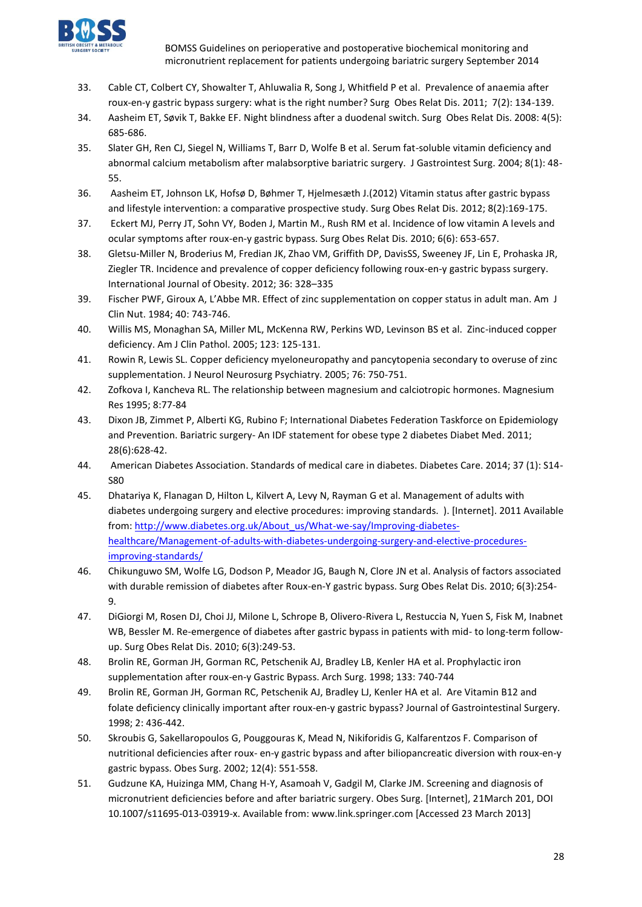

- 33. Cable CT, Colbert CY, Showalter T, Ahluwalia R, Song J, Whitfield P et al. Prevalence of anaemia after roux-en-y gastric bypass surgery: what is the right number? Surg Obes Relat Dis. 2011; 7(2): 134-139.
- 34. Aasheim ET, Søvik T, Bakke EF. Night blindness after a duodenal switch. Surg Obes Relat Dis. 2008: 4(5): 685-686.
- 35. Slater GH, Ren CJ, Siegel N, Williams T, Barr D, Wolfe B et al. Serum fat-soluble vitamin deficiency and abnormal calcium metabolism after malabsorptive bariatric surgery. J Gastrointest Surg. 2004; 8(1): 48- 55.
- 36. Aasheim ET, Johnson LK, Hofsø D, Bøhmer T, Hjelmesæth J.(2012) Vitamin status after gastric bypass and lifestyle intervention: a comparative prospective study. Surg Obes Relat Dis. 2012; 8(2):169-175.
- 37. Eckert MJ, Perry JT, Sohn VY, Boden J, Martin M., Rush RM et al. Incidence of low vitamin A levels and ocular symptoms after roux-en-y gastric bypass. Surg Obes Relat Dis. 2010; 6(6): 653-657.
- 38. Gletsu-Miller N, Broderius M, Fredian JK, Zhao VM, Griffith DP, DavisSS, Sweeney JF, Lin E, Prohaska JR, Ziegler TR. Incidence and prevalence of copper deficiency following roux-en-y gastric bypass surgery. International Journal of Obesity. 2012; 36: 328–335
- 39. Fischer PWF, Giroux A, L'Abbe MR. Effect of zinc supplementation on copper status in adult man. Am J Clin Nut. 1984; 40: 743-746.
- 40. Willis MS, Monaghan SA, Miller ML, McKenna RW, Perkins WD, Levinson BS et al. Zinc-induced copper deficiency. Am J Clin Pathol. 2005; 123: 125-131.
- 41. Rowin R, Lewis SL. Copper deficiency myeloneuropathy and pancytopenia secondary to overuse of zinc supplementation. J Neurol Neurosurg Psychiatry. 2005; 76: 750-751.
- 42. Zofkova I, Kancheva RL. The relationship between magnesium and calciotropic hormones. Magnesium Res 1995; 8:77-84
- 43. Dixon JB, Zimmet P, Alberti KG, Rubino F; International Diabetes Federation Taskforce on Epidemiology and Prevention. Bariatric surgery- An IDF statement for obese type 2 diabetes Diabet Med. 2011; 28(6):628-42.
- 44. American Diabetes Association. Standards of medical care in diabetes. Diabetes Care. 2014; 37 (1): S14- S80
- 45. Dhatariya K, Flanagan D, Hilton L, Kilvert A, Levy N, Rayman G et al. Management of adults with diabetes undergoing surgery and elective procedures: improving standards. ). [Internet]. 2011 Available from: [http://www.diabetes.org.uk/About\\_us/What-we-say/Improving-diabetes](http://www.diabetes.org.uk/About_us/What-we-say/Improving-diabetes-healthcare/Management-of-adults-with-diabetes-undergoing-surgery-and-elective-procedures-improving-standards/)[healthcare/Management-of-adults-with-diabetes-undergoing-surgery-and-elective-procedures](http://www.diabetes.org.uk/About_us/What-we-say/Improving-diabetes-healthcare/Management-of-adults-with-diabetes-undergoing-surgery-and-elective-procedures-improving-standards/)[improving-standards/](http://www.diabetes.org.uk/About_us/What-we-say/Improving-diabetes-healthcare/Management-of-adults-with-diabetes-undergoing-surgery-and-elective-procedures-improving-standards/)
- 46. Chikunguwo SM, Wolfe LG, Dodson P, Meador JG, Baugh N, Clore JN et al. Analysis of factors associated with durable remission of diabetes after Roux-en-Y gastric bypass. Surg Obes Relat Dis. 2010; 6(3):254- 9.
- 47. DiGiorgi M, Rosen DJ, Choi JJ, Milone L, Schrope B, Olivero-Rivera L, Restuccia N, Yuen S, Fisk M, Inabnet WB, Bessler M. Re-emergence of diabetes after gastric bypass in patients with mid- to long-term followup. Surg Obes Relat Dis. 2010; 6(3):249-53.
- 48. Brolin RE, Gorman JH, Gorman RC, Petschenik AJ, Bradley LB, Kenler HA et al. Prophylactic iron supplementation after roux-en-y Gastric Bypass. Arch Surg. 1998; 133: 740-744
- 49. Brolin RE, Gorman JH, Gorman RC, Petschenik AJ, Bradley LJ, Kenler HA et al. Are Vitamin B12 and folate deficiency clinically important after roux-en-y gastric bypass? Journal of Gastrointestinal Surgery. 1998; 2: 436-442.
- 50. Skroubis G, Sakellaropoulos G, Pouggouras K, Mead N, Nikiforidis G, Kalfarentzos F. Comparison of nutritional deficiencies after roux- en-y gastric bypass and after biliopancreatic diversion with roux-en-y gastric bypass. Obes Surg. 2002; 12(4): 551-558.
- 51. Gudzune KA, Huizinga MM, Chang H-Y, Asamoah V, Gadgil M, Clarke JM. Screening and diagnosis of micronutrient deficiencies before and after bariatric surgery. Obes Surg. [Internet], 21March 201, DOI 10.1007/s11695-013-03919-x. Available from: www.link.springer.com [Accessed 23 March 2013]